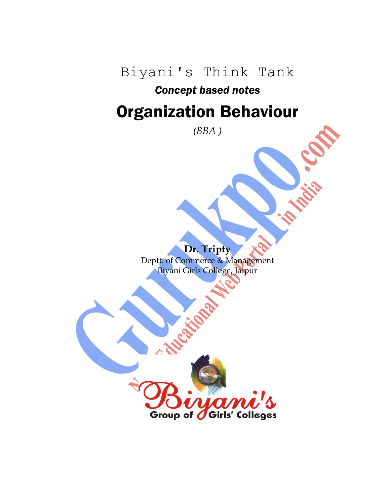Biyani's Think Tank

# *Concept based notes*

# Organization Behaviour

*(BBA )*

**Dr. Tripty**  Deptt. of Commerce & Management

Biyani Girls College, Jaipur

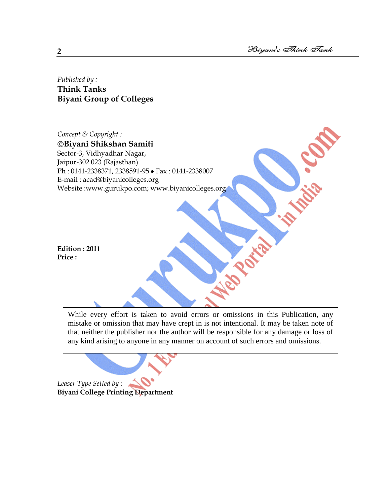*Published by :* **Think Tanks Biyani Group of Colleges**

*Concept & Copyright :* **Biyani Shikshan Samiti** Sector-3, Vidhyadhar Nagar,  $\tilde{\boldsymbol{c}}$ Jaipur-302 023 (Rajasthan) Ph: 0141-2338371, 2338591-95 • Fax: 0141-2338007 E-mail : acad@biyanicolleges.org Website :www.gurukpo.com; www.biyanicolleges.org **Edition : 2011 Price :**

While every effort is taken to avoid errors or omissions in this Publication, any mistake or omission that may have crept in is not intentional. It may be taken note of that neither the publisher nor the author will be responsible for any damage or loss of any kind arising to anyone in any manner on account of such errors and omissions.

*Leaser Type Setted by :* **Biyani College Printing Department**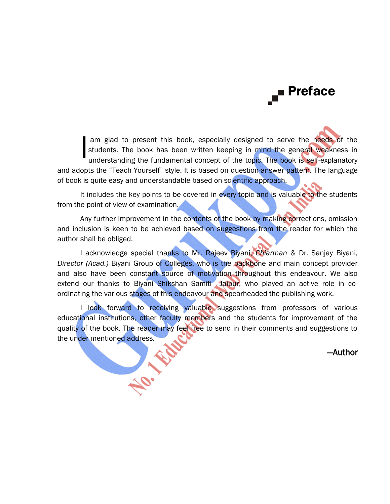# Preface

am glad to present this book, especially designed to serve the needs of the students. The book has been written keeping in mind the general weakness in understanding the fundamental concept of the topic. The book is self-explanatory and adopts the "Teach Yourself" style. It is based on question-answer pattern. The language of book is quite easy and understandable based on scientific approach. I

It includes the key points to be covered in every topic and is valuable to the students from the point of view of examination.

Any further improvement in the contents of the book by making corrections, omission and inclusion is keen to be achieved based on suggestions from the reader for which the author shall be obliged.

I acknowledge special thanks to Mr. Rajeev Biyani, *Chiarman* & Dr. Sanjay Biyani, *Director (Acad.)* Biyani Group of Colleges, who is the backbone and main concept provider and also have been constant source of motivation throughout this endeavour. We also extend our thanks to Biyani Shikshan Samiti Jaipur, who played an active role in coordinating the various stages of this endeavour and spearheaded the publishing work.

I look forward to receiving valuable suggestions from professors of various educational institutions, other faculty members and the students for improvement of the quality of the book. The reader may feel free to send in their comments and suggestions to the under mentioned address.

No. Feb

—Author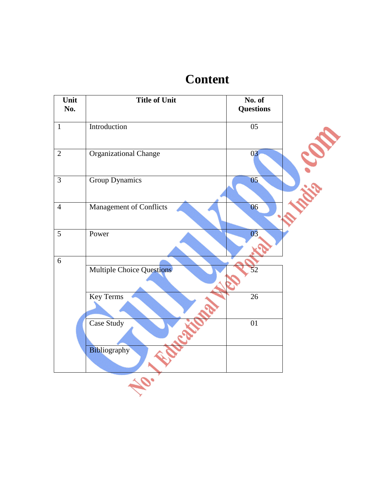| Unit           | <b>Title of Unit</b>             | No. of           |  |
|----------------|----------------------------------|------------------|--|
| No.            |                                  | <b>Questions</b> |  |
| $\mathbf{1}$   | Introduction                     | $\overline{05}$  |  |
| $\overline{2}$ | <b>Organizational Change</b>     | 03               |  |
| $\overline{3}$ | <b>Group Dynamics</b>            | 05               |  |
| $\overline{4}$ | Management of Conflicts          | 06               |  |
| $\overline{5}$ | Power                            | 03               |  |
| $\overline{6}$ | <b>Multiple Choice Questions</b> | $\overline{52}$  |  |
|                | Key Terms                        | $\overline{26}$  |  |
|                | Case Study                       | $\overline{01}$  |  |
|                | Bibliography                     |                  |  |
|                |                                  |                  |  |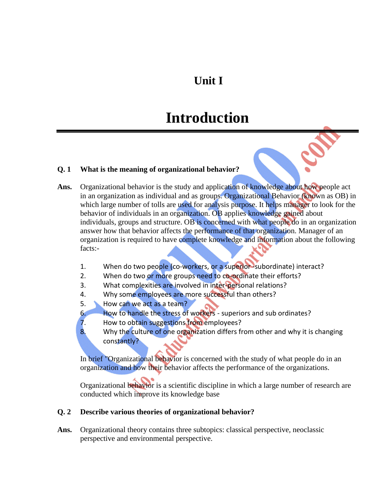# **Unit I**

# **Introduction**

#### **Q. 1 What is the meaning of organizational behavior?**

- **Ans.** Organizational behavior is the study and application of knowledge about how people act in an organization as individual and as groups. Organizational Behavior (known as OB) in which large number of tolls are used for analysis purpose. It helps manager to look for the behavior of individuals in an organization. OB applies knowledge gained about individuals, groups and structure. OB is concerned with what people do in an organization answer how that behavior affects the performance of that organization. Manager of an organization is required to have complete knowledge and information about the following facts:-
	- 1. When do two people (co-workers, or a superior-subordinate) interact?
	- 2. When do two or more groups need to co-ordinate their efforts?
	- 3. What complexities are involved in inter-personal relations?
	- 4. Why some employees are more successful than others?
	- 5. How can we act as a team?
	- 6. How to handle the stress of workers superiors and sub ordinates?
	- 7. How to obtain suggestions from employees?
	- 8. Why the culture of one organization differs from other and why it is changing constantly?

In brief "Organizational behavior is concerned with the study of what people do in an organization and how their behavior affects the performance of the organizations.

Organizational behavior is a scientific discipline in which a large number of research are conducted which improve its knowledge base

### **Q. 2 Describe various theories of organizational behavior?**

**Ans.** Organizational theory contains three subtopics: classical perspective, neoclassic perspective and environmental perspective.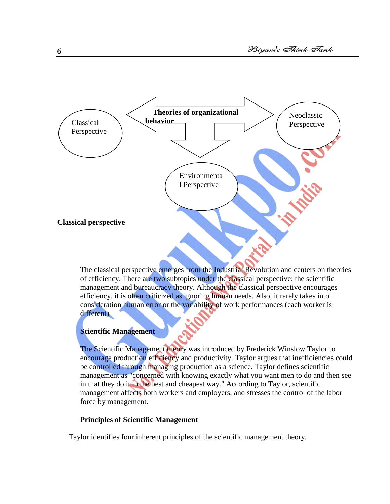

The classical perspective emerges from the Industrial Revolution and centers on theories of efficiency. There are two subtopics under the classical perspective: the scientific management and bureaucracy theory. Although the classical perspective encourages efficiency, it is often criticized as ignoring human needs. Also, it rarely takes into consideration human error or the variability of work performances (each worker is different)

#### **Scientific Management**

The Scientific Management theory was introduced by Frederick Winslow Taylor to encourage production efficiency and productivity. Taylor argues that inefficiencies could be controlled through managing production as a science. Taylor defines scientific management as "concerned with knowing exactly what you want men to do and then see in that they do it in the best and cheapest way." According to Taylor, scientific management affects both workers and employers, and stresses the control of the labor force by management.

#### **Principles of Scientific Management**

Taylor identifies four inherent principles of the scientific management theory.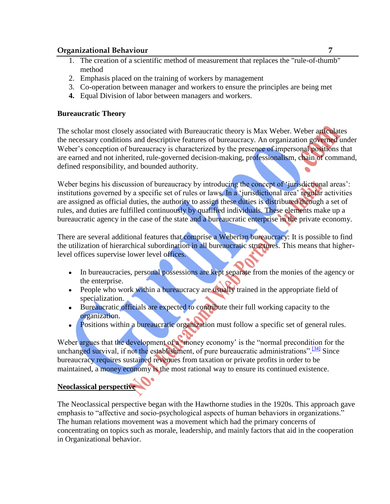- 1. The creation of a scientific method of measurement that replaces the "rule-of-thumb" method
- 2. Emphasis placed on the training of workers by management
- 3. Co-operation between manager and workers to ensure the principles are being met
- **4.** Equal Division of labor between managers and workers.

### **Bureaucratic Theory**

The scholar most closely associated with Bureaucratic theory is Max Weber. Weber articulates the necessary conditions and descriptive features of bureaucracy. An organization governed under Weber's conception of bureaucracy is characterized by the presence of impersonal positions that are earned and not inherited, rule-governed decision-making, professionalism, chain of command, defined responsibility, and bounded authority.

Weber begins his discussion of bureaucracy by introducing the concept of 'jurisdictional areas': institutions governed by a specific set of rules or laws. In a 'jurisdictional area' regular activities are assigned as official duties, the authority to assign these duties is distributed through a set of rules, and duties are fulfilled continuously by qualified individuals. These elements make up a bureaucratic agency in the case of the state and a bureaucratic enterprise in the private economy.

There are several additional features that comprise a Weberian bureaucracy: It is possible to find the utilization of hierarchical subordination in all bureaucratic structures. This means that higherlevel offices supervise lower level offices.

- In bureaucracies, personal possessions are kept separate from the monies of the agency or the enterprise.
- People who work within a bureaucracy are usually trained in the appropriate field of specialization.
- Bureaucratic officials are expected to contribute their full working capacity to the organization.
- Positions within a bureaucratic organization must follow a specific set of general rules.

Weber argues that the development of a 'money economy' is the "normal precondition for the unchanged survival, if not the establishment, of pure bureaucratic administrations".<sup>[\[34\]](http://en.wikipedia.org/wiki/Organizational_theory#cite_note-ReferenceA-34)</sup> Since bureaucracy requires sustained revenues from taxation or private profits in order to be maintained, a money economy is the most rational way to ensure its continued existence.

# **Neoclassical perspective**

The Neoclassical perspective began with the Hawthorne studies in the 1920s. This approach gave emphasis to "affective and socio-psychological aspects of human behaviors in organizations." The human relations movement was a movement which had the primary concerns of concentrating on topics such as morale, leadership, and mainly factors that aid in the cooperation in Organizational behavior.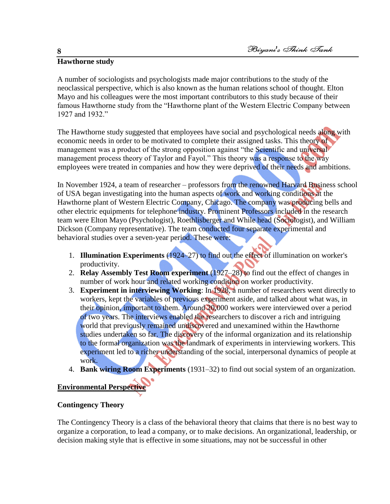# **Hawthorne study**

A number of sociologists and psychologists made major contributions to the study of the neoclassical perspective, which is also known as the human relations school of thought. Elton Mayo and his colleagues were the most important contributors to this study because of their famous Hawthorne study from the "Hawthorne plant of the Western Electric Company between 1927 and 1932."

The Hawthorne study suggested that employees have social and psychological needs along with economic needs in order to be motivated to complete their assigned tasks. This theory of management was a product of the strong opposition against "the Scientific and universal" management process theory of Taylor and Fayol." This theory was a response to the way employees were treated in companies and how they were deprived of their needs and ambitions.

In November 1924, a team of researcher – professors from the renowned Harvard Business school of USA began investigating into the human aspects of work and working conditions at the Hawthorne plant of Western Electric Company, Chicago. The company was producing bells and other electric equipments for telephone industry. Prominent Professors included in the research team were Elton Mayo (Psychologist), Roethlisberger and While head (Sociologist), and William Dickson (Company representative). The team conducted four separate experimental and behavioral studies over a seven-year period. These were:

- 1. **Illumination Experiments** (1924–27) to find out the effect of illumination on worker's productivity.
- 2. **Relay Assembly Test Room experiment** (1927–28) to find out the effect of changes in number of work hour and related working condition on worker productivity.
- 3. **Experiment in interviewing Working**: In 1928, a number of researchers went directly to workers, kept the variables of previous experiment aside, and talked about what was, in their opinion, important to them. Around 20,000 workers were interviewed over a period of two years. The interviews enabled the researchers to discover a rich and intriguing world that previously remained undiscovered and unexamined within the Hawthorne studies undertaken so far. The discovery of the informal organization and its relationship to the formal organization was the landmark of experiments in interviewing workers. This experiment led to a richer understanding of the social, interpersonal dynamics of people at work.
- 4. **Bank wiring Room Experiments** (1931–32) to find out social system of an organization.

# **Environmental Perspective**

# **Contingency Theory**

The Contingency Theory is a class of the behavioral theory that claims that there is no best way to organize a corporation, to lead a company, or to make decisions. An organizational, leadership, or decision making style that is effective in some situations, may not be successful in other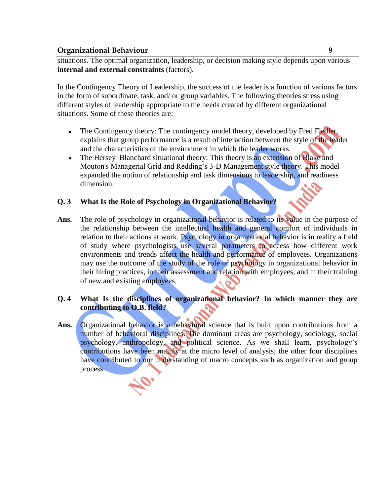situations. The optimal organization, leadership, or decision making style depends upon various **internal and external constraints** (factors).

In the Contingency Theory of Leadership, the success of the leader is a function of various factors in the form of subordinate, task, and/ or group variables. The following theories stress using different styles of leadership appropriate to the needs created by different organizational situations. Some of these theories are:

- $\bullet$ The Contingency theory: The contingency model theory, developed by Fred Fiedler, explains that group performance is a result of interaction between the style of the leader and the characteristics of the environment in which the leader works.
- The Hersey–Blanchard situational theory: This theory is an extension of Blake and Mouton's Managerial Grid and Redding's 3-D Management style theory. This model expanded the notion of relationship and task dimensions to leadership, and readiness dimension.

## **Q. 3 What Is the Role of Psychology in Organizational Behavior?**

**Ans.** The role of psychology in organizational behavior is related to its value in the purpose of the relationship between the intellectual health and general comfort of individuals in relation to their actions at work. Psychology in organizational behavior is in reality a field of study where psychologists use several parameters to access how different work environments and trends affect the health and performance of employees. Organizations may use the outcome of the study of the role of psychology in organizational behavior in their hiring practices, in their assessment and relation with employees, and in their training of new and existing employees.

### **Q. 4 What Is the disciplines of organizational behavior? In which manner they are contributing to O.B. field?**

**Ans.** Organizational behavior is a behavioral science that is built upon contributions from a number of behavioral disciplines. The dominant areas are psychology, sociology, social psychology, anthropology, and political science. As we shall learn, psychology's contributions have been mainly at the micro level of analysis; the other four disciplines have contributed to our understanding of macro concepts such as organization and group process.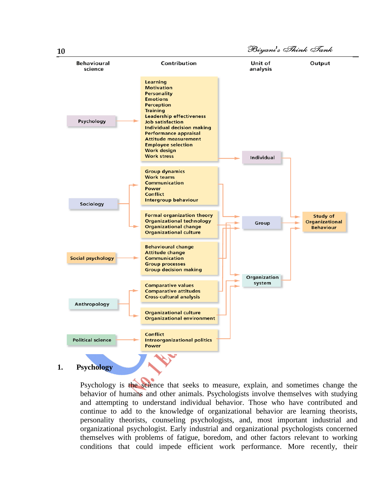

Psychology is the science that seeks to measure, explain, and sometimes change the behavior of humans and other animals. Psychologists involve themselves with studying and attempting to understand individual behavior. Those who have contributed and continue to add to the knowledge of organizational behavior are learning theorists, personality theorists, counseling psychologists, and, most important industrial and organizational psychologist. Early industrial and organizational psychologists concerned themselves with problems of fatigue, boredom, and other factors relevant to working conditions that could impede efficient work performance. More recently, their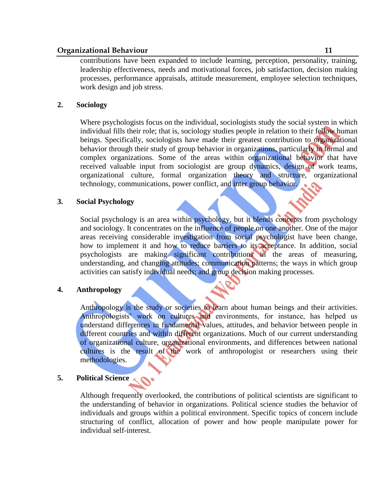contributions have been expanded to include learning, perception, personality, training, leadership effectiveness, needs and motivational forces, job satisfaction, decision making processes, performance appraisals, attitude measurement, employee selection techniques, work design and job stress.

#### **2. Sociology**

Where psychologists focus on the individual, sociologists study the social system in which individual fills their role; that is, sociology studies people in relation to their fellow human beings. Specifically, sociologists have made their greatest contribution to organizational behavior through their study of group behavior in organizations, particularly in formal and complex organizations. Some of the areas within organizational behavior that have received valuable input from sociologist are group dynamics, design of work teams, organizational culture, formal organization theory and structure, organizational technology, communications, power conflict, and inter group behavior.

#### **3. Social Psychology**

Social psychology is an area within psychology, but it blends concepts from psychology and sociology. It concentrates on the influence of people on one another. One of the major areas receiving considerable investigation from social psychologist have been change, how to implement it and how to reduce barriers to its acceptance. In addition, social psychologists are making significant contributions in the areas of measuring, understanding, and changing attitudes; communication patterns; the ways in which group activities can satisfy individual needs; and group decision making processes.

#### **4. Anthropology**

Anthropology is the study or societies to learn about human beings and their activities. Anthropologists' work on cultures and environments, for instance, has helped us understand differences in fundamental values, attitudes, and behavior between people in different countries and within different organizations. Much of our current understanding of organizational culture, organizational environments, and differences between national cultures is the result of the work of anthropologist or researchers using their methodologies.

### **5. Political Science**

Although frequently overlooked, the contributions of political scientists are significant to the understanding of behavior in organizations. Political science studies the behavior of individuals and groups within a political environment. Specific topics of concern include structuring of conflict, allocation of power and how people manipulate power for individual self-interest.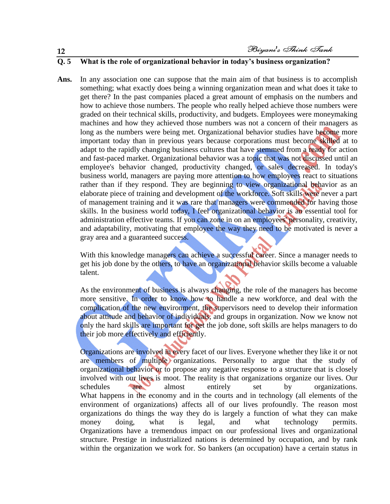# Biyani's Think Tank

# **Q. 5 What is the role of organizational behavior in today's business organization?**

**12**

Ans. In any association one can suppose that the main aim of that business is to accomplish something; what exactly does being a winning organization mean and what does it take to get there? In the past companies placed a great amount of emphasis on the numbers and how to achieve those numbers. The people who really helped achieve those numbers were graded on their technical skills, productivity, and budgets. Employees were moneymaking machines and how they achieved those numbers was not a concern of their managers as long as the numbers were being met. Organizational behavior studies have become more important today than in previous years because corporations must become skilled at to adapt to the rapidly changing business cultures that have stemmed from a ready for action and fast-paced market. Organizational behavior was a topic that was not discussed until an employee's behavior changed, productivity changed, or sales decreased. In today's business world, managers are paying more attention to how employees react to situations rather than if they respond. They are beginning to view organizational behavior as an elaborate piece of training and development of the workforce. Soft skills were never a part of management training and it was rare that managers were commended for having those skills. In the business world today, I feel organizational behavior is an essential tool for administration effective teams. If you can zone in on an employees' personality, creativity, and adaptability, motivating that employee the way they need to be motivated is never a gray area and a guaranteed success.

With this knowledge managers can achieve a successful career. Since a manager needs to get his job done by the others, to have an organizational behavior skills become a valuable talent.

As the environment of business is always changing, the role of the managers has become more sensitive. In order to know how to handle a new workforce, and deal with the complication of the new environment, the supervisors need to develop their information about attitude and behavior of individuals, and groups in organization. Now we know not only the hard skills are important for get the job done, soft skills are helps managers to do their job more effectively and efficiently.

Organizations are involved in every facet of our lives. Everyone whether they like it or not are members of multiple organizations. Personally to argue that the study of organizational behavior or to propose any negative response to a structure that is closely involved with our lives is moot. The reality is that organizations organize our lives. Our schedules are almost entirely set by organizations. What happens in the economy and in the courts and in technology (all elements of the environment of organizations) affects all of our lives profoundly. The reason most organizations do things the way they do is largely a function of what they can make money doing, what is legal, and what technology permits. Organizations have a tremendous impact on our professional lives and organizational structure. Prestige in industrialized nations is determined by occupation, and by rank within the organization we work for. So bankers (an occupation) have a certain status in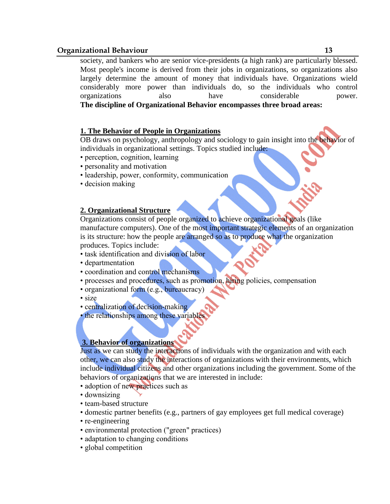society, and bankers who are senior vice-presidents (a high rank) are particularly blessed. Most people's income is derived from their jobs in organizations, so organizations also largely determine the amount of money that individuals have. Organizations wield considerably more power than individuals do, so the individuals who control organizations also have considerable power. **The discipline of Organizational Behavior encompasses three broad areas:**

## **1. The Behavior of People in Organizations**

OB draws on psychology, anthropology and sociology to gain insight into the behavior of individuals in organizational settings. Topics studied include:

- perception, cognition, learning
- personality and motivation
- leadership, power, conformity, communication
- decision making

## **2. Organizational Structure**

Organizations consist of people organized to achieve organizational goals (like manufacture computers). One of the most important strategic elements of an organization is its structure: how the people are arranged so as to produce what the organization produces. Topics include:

- task identification and division of labor
- departmentation
- coordination and control mechanisms
- processes and procedures, such as promotion, hiring policies, compensation
- organizational form (e.g., bureaucracy)
- size
- centralization of decision-making
- the relationships among these variables

### **3. Behavior of organizations**

Just as we can study the interactions of individuals with the organization and with each other, we can also study the interactions of organizations with their environments, which include individual citizens and other organizations including the government. Some of the behaviors of organizations that we are interested in include:

- adoption of new practices such as
- downsizing
- team-based structure
- domestic partner benefits (e.g., partners of gay employees get full medical coverage)
- re-engineering
- environmental protection ("green" practices)
- adaptation to changing conditions
- global competition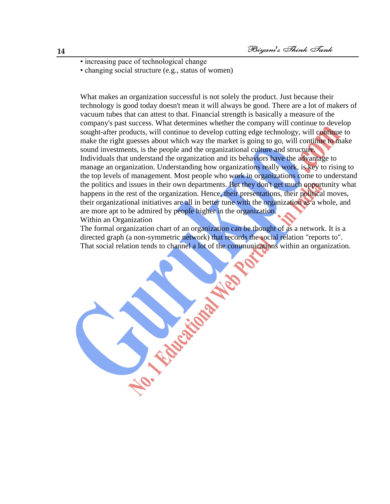• increasing pace of technological change

• changing social structure (e.g., status of women)

What makes an organization successful is not solely the product. Just because their technology is good today doesn't mean it will always be good. There are a lot of makers of vacuum tubes that can attest to that. Financial strength is basically a measure of the company's past success. What determines whether the company will continue to develop sought-after products, will continue to develop cutting edge technology, will continue to make the right guesses about which way the market is going to go, will continue to make sound investments, is the people and the organizational culture and structure. Individuals that understand the organization and its behaviors have the advantage to manage an organization. Understanding how organizations really work, is key to rising to the top levels of management. Most people who work in organizations come to understand the politics and issues in their own departments. But they don't get much opportunity what happens in the rest of the organization. Hence, their presentations, their political moves, their organizational initiatives are all in better tune with the organization as a whole, and are more apt to be admired by people higher in the organization. Within an Organization

The formal organization chart of an organization can be thought of as a network. It is a directed graph (a non-symmetric network) that records the social relation "reports to". That social relation tends to channel a lot of the communications within an organization.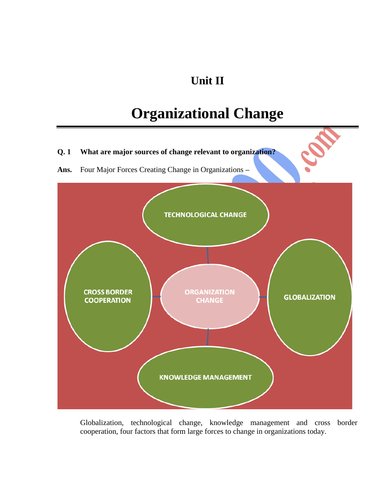# **Unit II**

# **Organizational Change**

LE



**Ans.** Four Major Forces Creating Change in Organizations **–**



Globalization, technological change, knowledge management and cross border cooperation, four factors that form large forces to change in organizations today.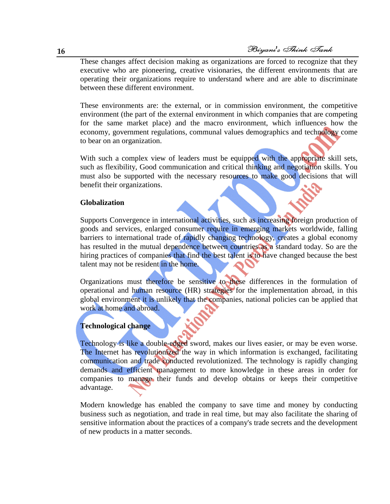These changes affect decision making as organizations are forced to recognize that they executive who are pioneering, creative visionaries, the different environments that are operating their organizations require to understand where and are able to discriminate between these different environment.

These environments are: the external, or in commission environment, the competitive environment (the part of the external environment in which companies that are competing for the same market place) and the macro environment, which influences how the economy, government regulations, communal values demographics and technology come to bear on an organization.

With such a complex view of leaders must be equipped with the appropriate skill sets, such as flexibility, Good communication and critical thinking and negotiation skills. You must also be supported with the necessary resources to make good decisions that will benefit their organizations.

#### **Globalization**

Supports Convergence in international activities, such as increasing foreign production of goods and services, enlarged consumer require in emerging markets worldwide, falling barriers to international trade of rapidly changing technology, creates a global economy has resulted in the mutual dependence between countries as a standard today. So are the hiring practices of companies that find the best talent is to have changed because the best talent may not be resident in the home.

Organizations must therefore be sensitive to these differences in the formulation of operational and human resource (HR) strategies for the implementation abroad, in this global environment it is unlikely that the companies, national policies can be applied that work at home and abroad.

#### **Technological change**

Technology is like a double-edged sword, makes our lives easier, or may be even worse. The Internet has revolutionized the way in which information is exchanged, facilitating communication and trade conducted revolutionized. The technology is rapidly changing demands and efficient management to more knowledge in these areas in order for companies to manage their funds and develop obtains or keeps their competitive advantage.

Modern knowledge has enabled the company to save time and money by conducting business such as negotiation, and trade in real time, but may also facilitate the sharing of sensitive information about the practices of a company's trade secrets and the development of new products in a matter seconds.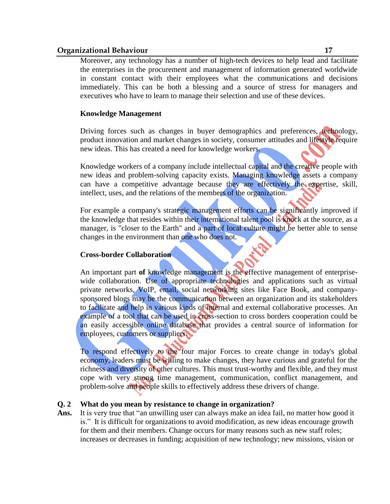Moreover, any technology has a number of high-tech devices to help lead and facilitate the enterprises in the procurement and management of information generated worldwide in constant contact with their employees what the communications and decisions immediately. This can be both a blessing and a source of stress for managers and executives who have to learn to manage their selection and use of these devices.

#### **Knowledge Management**

Driving forces such as changes in buyer demographics and preferences, technology, product innovation and market changes in society, consumer attitudes and lifestyle require new ideas. This has created a need for knowledge workers.

Knowledge workers of a company include intellectual capital and the creative people with new ideas and problem-solving capacity exists. Managing knowledge assets a company can have a competitive advantage because they are effectively the expertise, skill, intellect, uses, and the relations of the members of the organization.

For example a company's strategic management efforts can be significantly improved if the knowledge that resides within their international talent pool is knock at the source, as a manager, is "closer to the Earth" and a part of local culture might be better able to sense changes in the environment than one who does not.

#### **Cross-border Collaboration**

An important part **of** knowledge management is the effective management of enterprisewide collaboration. Use of appropriate technologies and applications such as virtual private networks, VoIP, email, social networking sites like Face Book, and companysponsored blogs may be the communication between an organization and its stakeholders to facilitate and help in various kinds of internal and external collaborative processes. An example of a tool that can be used in cross-section to cross borders cooperation could be an easily accessible online database that provides a central source of information for employees, customers or suppliers.

To respond effectively to the four major Forces to create change in today's global economy, leaders must be willing to make changes, they have curious and grateful for the richness and diversity of other cultures. This must trust-worthy and flexible, and they must cope with very strong time management, communication, conflict management, and problem-solve and people skills to effectively address these drivers of change.

### **Q. 2 What do you mean by resistance to change in organization?**

Ans. It is very true that "an unwilling user can always make an idea fail, no matter how good it is.‖ It is difficult for organizations to avoid modification, as new ideas encourage growth for them and their members. Change occurs for many reasons such as new staff roles; increases or decreases in funding; acquisition of new technology; new missions, vision or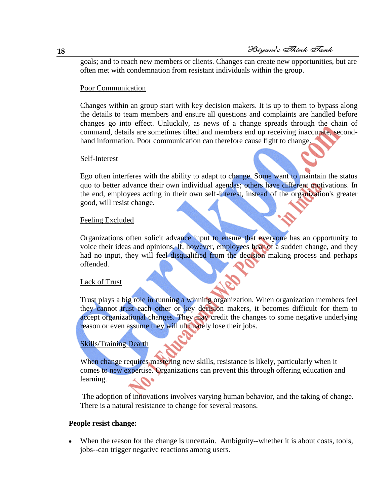goals; and to reach new members or clients. Changes can create new opportunities, but are often met with condemnation from resistant individuals within the group.

#### Poor Communication

Changes within an group start with key decision makers. It is up to them to bypass along the details to team members and ensure all questions and complaints are handled before changes go into effect. Unluckily, as news of a change spreads through the chain of command, details are sometimes tilted and members end up receiving inaccurate, secondhand information. Poor communication can therefore cause fight to change.

#### Self-Interest

Ego often interferes with the ability to adapt to change. Some want to maintain the status quo to better advance their own individual agendas; others have different motivations. In the end, employees acting in their own self-interest, instead of the organization's greater good, will resist change.

#### Feeling Excluded

Organizations often solicit advance input to ensure that everyone has an opportunity to voice their ideas and opinions. If, however, employees hear of a sudden change, and they had no input, they will feel disqualified from the decision making process and perhaps offended.

#### Lack of Trust

Trust plays a big role in running a winning organization. When organization members feel they cannot trust each other or key decision makers, it becomes difficult for them to accept organizational changes. They may credit the changes to some negative underlying reason or even assume they will ultimately lose their jobs.

#### Skills/Training Dearth

When change requires mastering new skills, resistance is likely, particularly when it comes to new expertise. Organizations can prevent this through offering education and learning.

The adoption of innovations involves varying human behavior, and the taking of change. There is a natural resistance to change for several reasons.

#### **People resist change:**

When the reason for the change is uncertain. Ambiguity--whether it is about costs, tools, jobs--can trigger negative reactions among users.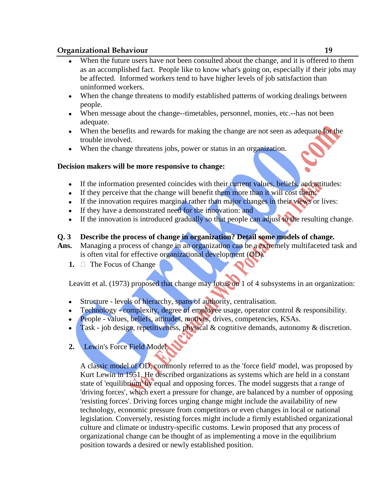- When the future users have not been consulted about the change, and it is offered to them as an accomplished fact. People like to know what's going on, especially if their jobs may be affected. Informed workers tend to have higher levels of job satisfaction than uninformed workers.
- When the change threatens to modify established patterns of working dealings between people.
- When message about the change--timetables, personnel, monies, etc.--has not been adequate.
- When the benefits and rewards for making the change are not seen as adequate for the trouble involved.
- When the change threatens jobs, power or status in an organization.

## **Decision makers will be more responsive to change:**

- If the information presented coincides with their current values, beliefs, and attitudes:
- If they perceive that the change will benefit them more than it will cost them:
- If the innovation requires marginal rather than major changes in their views or lives:
- If they have a demonstrated need for the innovation: and
- If the innovation is introduced gradually so that people can adjust to the resulting change.

## **Q. 3 Describe the process of change in organization? Detail some models of change.**

- Ans. Managing a process of change in an organization can be a extremely multifaceted task and is often vital for effective organizational development (OD).
	- **1.**  $\Box$  The Focus of Change

Leavitt et al. (1973) proposed that change may focus on 1 of 4 subsystems in an organization:

- Structure levels of hierarchy, spans of authority, centralisation.  $\bullet$
- Technology complexity, degree of employee usage, operator control & responsibility.
- People values, beliefs, attitudes, motives, drives, competencies, KSAs.
- Task job design, repetitiveness, physical & cognitive demands, autonomy & discretion.
- **2.** Lewin's Force Field Model

A classic model of OD, commonly referred to as the 'force field' model, was proposed by Kurt Lewin in 1951. He described organizations as systems which are held in a constant state of 'equilibrium' by equal and opposing forces. The model suggests that a range of 'driving forces', which exert a pressure for change, are balanced by a number of opposing 'resisting forces'. Driving forces urging change might include the availability of new technology, economic pressure from competitors or even changes in local or national legislation. Conversely, resisting forces might include a firmly established organizational culture and climate or industry-specific customs. Lewin proposed that any process of organizational change can be thought of as implementing a move in the equilibrium position towards a desired or newly established position.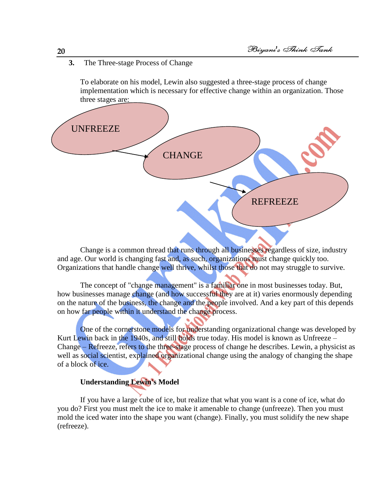#### **3.** The Three-stage Process of Change

To elaborate on his model, Lewin also suggested a three-stage process of change implementation which is necessary for effective change within an organization. Those three stages are:



Change is a common thread that runs through all businesses regardless of size, industry and age. Our world is changing fast and, as such, organizations must change quickly too. Organizations that handle change well thrive, whilst those that do not may struggle to survive.

The concept of "change management" is a familiar one in most businesses today. But, how businesses manage change (and how successful they are at it) varies enormously depending on the nature of the business, the change and the people involved. And a key part of this depends on how far people within it understand the change process.

One of the cornerstone models for understanding organizational change was developed by Kurt Lewin back in the 1940s, and still holds true today. His model is known as Unfreeze – Change – Refreeze, refers to the three-stage process of change he describes. Lewin, a physicist as well as social scientist, explained organizational change using the analogy of changing the shape of a block of ice.

#### **Understanding Lewin's Model**

If you have a large cube of ice, but realize that what you want is a cone of ice, what do you do? First you must melt the ice to make it amenable to change (unfreeze). Then you must mold the iced water into the shape you want (change). Finally, you must solidify the new shape (refreeze).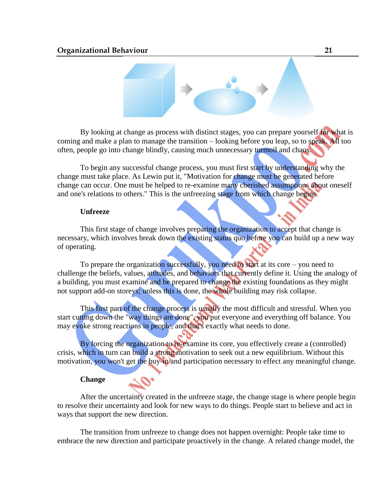By looking at change as process with distinct stages, you can prepare yourself for what is coming and make a plan to manage the transition – looking before you leap, so to speak. All too often, people go into change blindly, causing much unnecessary turmoil and chaos.

To begin any successful change process, you must first start by understanding why the change must take place. As Lewin put it, "Motivation for change must be generated before change can occur. One must be helped to re-examine many cherished assumptions about oneself and one's relations to others." This is the unfreezing stage from which change begins.

#### **Unfreeze**

This first stage of change involves preparing the organization to accept that change is necessary, which involves break down the existing status quo before you can build up a new way of operating.

To prepare the organization successfully, you need to start at its core – you need to challenge the beliefs, values, attitudes, and behaviors that currently define it. Using the analogy of a building, you must examine and be prepared to change the existing foundations as they might not support add-on storeys; unless this is done, the whole building may risk collapse.

This first part of the change process is usually the most difficult and stressful. When you start cutting down the "way things are done", you put everyone and everything off balance. You may evoke strong reactions in people, and that's exactly what needs to done.

By forcing the organization to re-examine its core, you effectively create a (controlled) crisis, which in turn can build a strong motivation to seek out a new equilibrium. Without this motivation, you won't get the buy-in and participation necessary to effect any meaningful change.

#### **Change**

After the uncertainty created in the unfreeze stage, the change stage is where people begin to resolve their uncertainty and look for new ways to do things. People start to believe and act in ways that support the new direction.

The transition from unfreeze to change does not happen overnight: People take time to embrace the new direction and participate proactively in the change. A related change model, the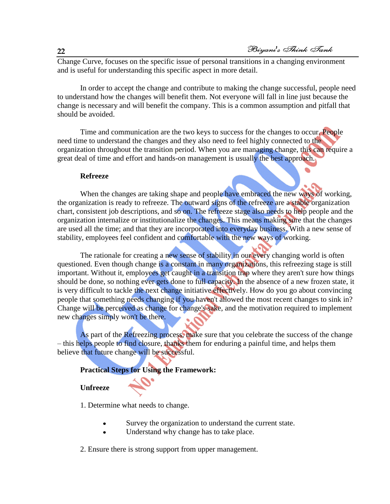Change Curve, focuses on the specific issue of personal transitions in a changing environment and is useful for understanding this specific aspect in more detail.

In order to accept the change and contribute to making the change successful, people need to understand how the changes will benefit them. Not everyone will fall in line just because the change is necessary and will benefit the company. This is a common assumption and pitfall that should be avoided.

Time and communication are the two keys to success for the changes to occur. People need time to understand the changes and they also need to feel highly connected to the organization throughout the transition period. When you are managing change, this can require a great deal of time and effort and hands-on management is usually the best approach.

#### **Refreeze**

When the changes are taking shape and people have embraced the new ways of working, the organization is ready to refreeze. The outward signs of the refreeze are a stable organization chart, consistent job descriptions, and so on. The refreeze stage also needs to help people and the organization internalize or institutionalize the changes. This means making sure that the changes are used all the time; and that they are incorporated into everyday business. With a new sense of stability, employees feel confident and comfortable with the new ways of working.

The rationale for creating a new sense of stability in our every changing world is often questioned. Even though change is a constant in many organizations, this refreezing stage is still important. Without it, employees get caught in a transition trap where they aren't sure how things should be done, so nothing ever gets done to full capacity. In the absence of a new frozen state, it is very difficult to tackle the next change initiative effectively. How do you go about convincing people that something needs changing if you haven't allowed the most recent changes to sink in? Change will be perceived as change for change's sake, and the motivation required to implement new changes simply won't be there.

As part of the Refreezing process, make sure that you celebrate the success of the change – this helps people to find closure, thanks them for enduring a painful time, and helps them believe that future change will be successful.

#### **Practical Steps for Using the Framework:**

#### **Unfreeze**

- 1. Determine what needs to change.
	- Survey the organization to understand the current state.
	- Understand why change has to take place.

2. Ensure there is strong support from upper management.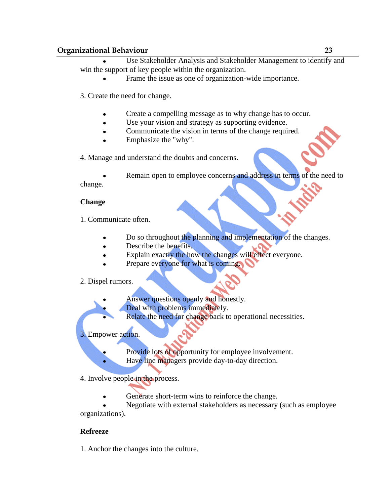Use Stakeholder Analysis and Stakeholder Management to identify and win the support of key people within the organization.

Frame the issue as one of organization-wide importance.

3. Create the need for change.

- Create a compelling message as to why change has to occur.
- Use your vision and strategy as supporting evidence.
- Communicate the vision in terms of the change required.
- Emphasize the "why".

4. Manage and understand the doubts and concerns.

Remain open to employee concerns and address in terms of the need to

change.

# **Change**

- 1. Communicate often.
	- Do so throughout the planning and implementation of the changes.
	- Describe the benefits.  $\bullet$ 
		- Explain exactly the how the changes will effect everyone.
	- Prepare everyone for what is coming.

# 2. Dispel rumors.

- Answer questions openly and honestly.
	- Deal with problems immediately.
	- Relate the need for change back to operational necessities.

# 3. Empower action.

- Provide lots of opportunity for employee involvement. Have line managers provide day-to-day direction.
- 4. Involve people in the process.
	- Generate short-term wins to reinforce the change.

Negotiate with external stakeholders as necessary (such as employee organizations).

# **Refreeze**

1. Anchor the changes into the culture.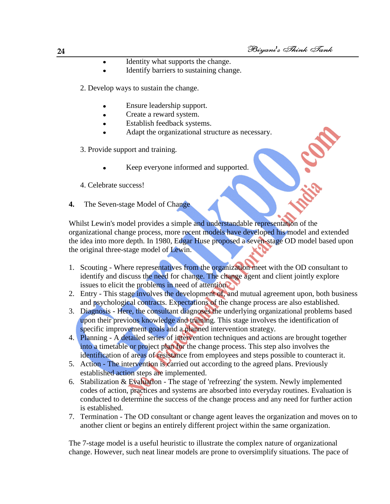$\sum_{i=1}^{n}$ 

- Identity what supports the change.  $\bullet$
- Identify barriers to sustaining change.  $\bullet$
- 2. Develop ways to sustain the change.
	- Ensure leadership support.
	- Create a reward system.
	- Establish feedback systems.  $\bullet$
	- Adapt the organizational structure as necessary.
- 3. Provide support and training.
	- Keep everyone informed and supported.
- 4. Celebrate success!
- **4.** The Seven-stage Model of Change

Whilst Lewin's model provides a simple and understandable representation of the organizational change process, more recent models have developed his model and extended the idea into more depth. In 1980, Edgar Huse proposed a seven-stage OD model based upon the original three-stage model of Lewin.

- 1. Scouting Where representatives from the organization meet with the OD consultant to identify and discuss the need for change. The change agent and client jointly explore issues to elicit the problems in need of attention.
- 2. Entry This stage involves the development of, and mutual agreement upon, both business and psychological contracts. Expectations of the change process are also established.
- 3. Diagnosis Here, the consultant diagnoses the underlying organizational problems based upon their previous knowledge and training. This stage involves the identification of specific improvement goals and a planned intervention strategy.
- 4. Planning A detailed series of intervention techniques and actions are brought together into a timetable or project plan for the change process. This step also involves the identification of areas of resistance from employees and steps possible to counteract it.
- 5. Action The intervention is carried out according to the agreed plans. Previously established action steps are implemented.
- 6. Stabilization & Evaluation The stage of 'refreezing' the system. Newly implemented codes of action, practices and systems are absorbed into everyday routines. Evaluation is conducted to determine the success of the change process and any need for further action is established.
- 7. Termination The OD consultant or change agent leaves the organization and moves on to another client or begins an entirely different project within the same organization.

The 7-stage model is a useful heuristic to illustrate the complex nature of organizational change. However, such neat linear models are prone to oversimplify situations. The pace of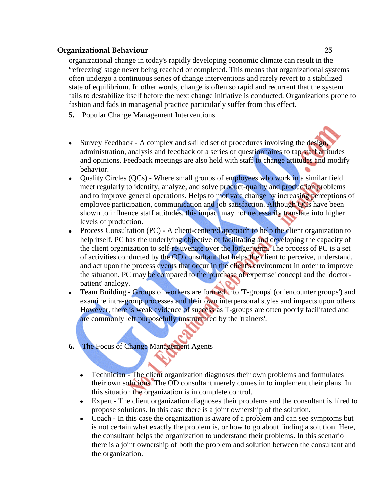organizational change in today's rapidly developing economic climate can result in the 'refreezing' stage never being reached or completed. This means that organizational systems often undergo a continuous series of change interventions and rarely revert to a stabilized state of equilibrium. In other words, change is often so rapid and recurrent that the system fails to destabilize itself before the next change initiative is conducted. Organizations prone to fashion and fads in managerial practice particularly suffer from this effect.

- **5.** Popular Change Management Interventions
- Survey Feedback A complex and skilled set of procedures involving the design,  $\bullet$ administration, analysis and feedback of a series of questionnaires to tap staff attitudes and opinions. Feedback meetings are also held with staff to change attitudes and modify behavior.
- Quality Circles (QCs) Where small groups of employees who work in a similar field  $\bullet$ meet regularly to identify, analyze, and solve product-quality and production problems and to improve general operations. Helps to motivate change by increasing perceptions of employee participation, communication and job satisfaction. Although QCs have been shown to influence staff attitudes, this impact may not necessarily translate into higher levels of production.
- Process Consultation (PC) A client-centered approach to help the client organization to help itself. PC has the underlying objective of facilitating and developing the capacity of the client organization to self-rejuvenate over the longer term. The process of PC is a set of activities conducted by the OD consultant that helps the client to perceive, understand, and act upon the process events that occur in the client's environment in order to improve the situation. PC may be compared to the 'purchase of expertise' concept and the 'doctorpatient' analogy.
- Team Building Groups of workers are formed into 'T-groups' (or 'encounter groups') and  $\bullet$ examine intra-group processes and their own interpersonal styles and impacts upon others. However, there is weak evidence of success as T-groups are often poorly facilitated and are commonly left purposefully unstructured by the 'trainers'.
- **6.** The Focus of Change Management Agents
	- Technician The client organization diagnoses their own problems and formulates  $\bullet$ their own solutions. The OD consultant merely comes in to implement their plans. In this situation the organization is in complete control.
	- Expert The client organization diagnoses their problems and the consultant is hired to  $\bullet$ propose solutions. In this case there is a joint ownership of the solution.
	- Coach In this case the organization is aware of a problem and can see symptoms but  $\bullet$ is not certain what exactly the problem is, or how to go about finding a solution. Here, the consultant helps the organization to understand their problems. In this scenario there is a joint ownership of both the problem and solution between the consultant and the organization.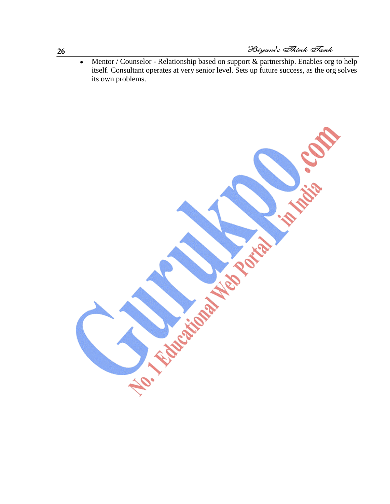Mentor / Counselor - Relationship based on support & partnership. Enables org to help  $\bullet$ itself. Consultant operates at very senior level. Sets up future success, as the org solves its own problems.

Legislation Maried of the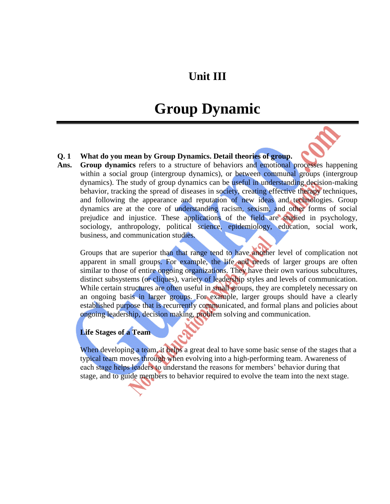# **Unit III**

# **Group Dynamic**

#### **Q. 1 What do you mean by Group Dynamics. Detail theories of group.**

**Ans. Group dynamics** refers to a structure of behaviors and emotional processes happening within a social group (intergroup dynamics), or between communal groups (intergroup dynamics). The study of group dynamics can be useful in understanding decision-making behavior, tracking the spread of diseases in society, creating effective therapy techniques, and following the appearance and reputation of new ideas and technologies. Group dynamics are at the core of understanding racism, sexism, and other forms of social prejudice and injustice. These applications of the field are studied in psychology, sociology, anthropology, political science, epidemiology, education, social work, business, and communication studies.

Groups that are superior than that range tend to have another level of complication not apparent in small groups. For example, the life and needs of larger groups are often similar to those of entire ongoing organizations. They have their own various subcultures, distinct subsystems (or cliques), variety of leadership styles and levels of communication. While certain structures are often useful in small groups, they are completely necessary on an ongoing basis in larger groups. For example, larger groups should have a clearly established purpose that is recurrently communicated, and formal plans and policies about ongoing leadership, decision making, problem solving and communication.

#### **Life Stages of a Team**

When developing a team, it helps a great deal to have some basic sense of the stages that a typical team moves through when evolving into a high-performing team. Awareness of each stage helps leaders to understand the reasons for members' behavior during that stage, and to guide members to behavior required to evolve the team into the next stage.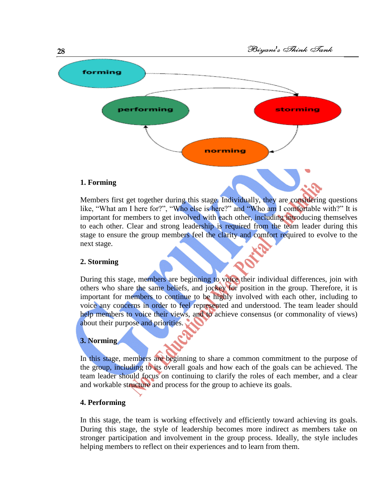

### **1. Forming**

Members first get together during this stage. Individually, they are considering questions like, "What am I here for?", "Who else is here?" and "Who am I comfortable with?" It is important for members to get involved with each other, including introducing themselves to each other. Clear and strong leadership is required from the team leader during this stage to ensure the group members feel the clarity and comfort required to evolve to the next stage.

#### **2. Storming**

During this stage, members are beginning to voice their individual differences, join with others who share the same beliefs, and jockey for position in the group. Therefore, it is important for members to continue to be highly involved with each other, including to voice any concerns in order to feel represented and understood. The team leader should help members to voice their views, and to achieve consensus (or commonality of views) about their purpose and priorities.

### **3. Norming**

In this stage, members are beginning to share a common commitment to the purpose of the group, including to its overall goals and how each of the goals can be achieved. The team leader should focus on continuing to clarify the roles of each member, and a clear and workable structure and process for the group to achieve its goals.

#### **4. Performing**

In this stage, the team is working effectively and efficiently toward achieving its goals. During this stage, the style of leadership becomes more indirect as members take on stronger participation and involvement in the group process. Ideally, the style includes helping members to reflect on their experiences and to learn from them.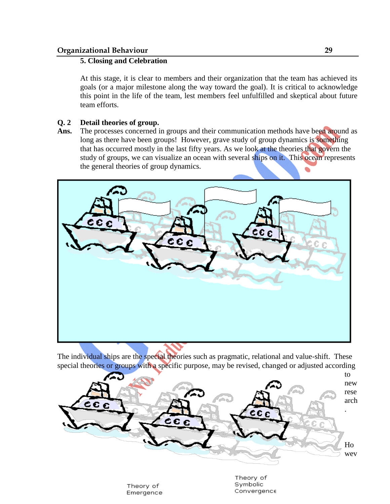#### **5. Closing and Celebration**

At this stage, it is clear to members and their organization that the team has achieved its goals (or a major milestone along the way toward the goal). It is critical to acknowledge this point in the life of the team, lest members feel unfulfilled and skeptical about future team efforts.

### **Q. 2 Detail theories of group.**

Ans. The processes concerned in groups and their communication methods have been around as long as there have been groups! However, grave study of group dynamics is something that has occurred mostly in the last fifty years. As we look at the theories that govern the study of groups, we can visualize an ocean with several ships on it. This ocean represents the general theories of group dynamics.



The individual ships are the special theories such as pragmatic, relational and value-shift. These special theories or groups with a specific purpose, may be revised, changed or adjusted according



Theory of Emergence

Theory of Symbolic Convergence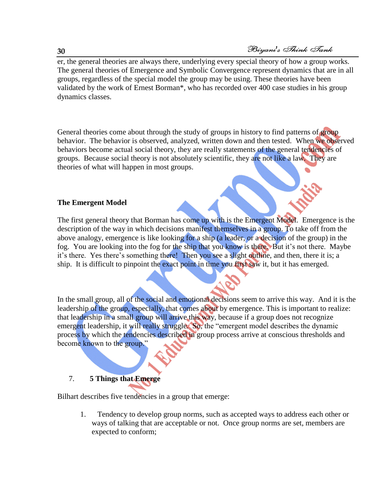er, the general theories are always there, underlying every special theory of how a group works. The general theories of Emergence and Symbolic Convergence represent dynamics that are in all groups, regardless of the special model the group may be using. These theories have been validated by the work of Ernest Borman\*, who has recorded over 400 case studies in his group dynamics classes.

General theories come about through the study of groups in history to find patterns of group behavior. The behavior is observed, analyzed, written down and then tested. When we observed behaviors become actual social theory, they are really statements of the general tendencies of groups. Because social theory is not absolutely scientific, they are not like a law. They are theories of what will happen in most groups.

### **The Emergent Model**

The first general theory that Borman has come up with is the Emergent Model. Emergence is the description of the way in which decisions manifest themselves in a group. To take off from the above analogy, emergence is like looking for a ship (a leader, or a decision of the group) in the fog. You are looking into the fog for the ship that you know is there. But it's not there. Maybe it's there. Yes there's something there! Then you see a slight outline, and then, there it is; a ship. It is difficult to pinpoint the exact point in time you first saw it, but it has emerged.

In the small group, all of the social and emotional decisions seem to arrive this way. And it is the leadership of the group, especially, that comes about by emergence. This is important to realize: that leadership in a small group will arrive this way, because if a group does not recognize emergent leadership, it will really struggle. So, the "emergent model describes the dynamic process by which the tendencies described in group process arrive at conscious thresholds and become known to the group."

### 7. **5 Things that Emerge**

Bilhart describes five tendencies in a group that emerge:

1. Tendency to develop group norms, such as accepted ways to address each other or ways of talking that are acceptable or not. Once group norms are set, members are expected to conform;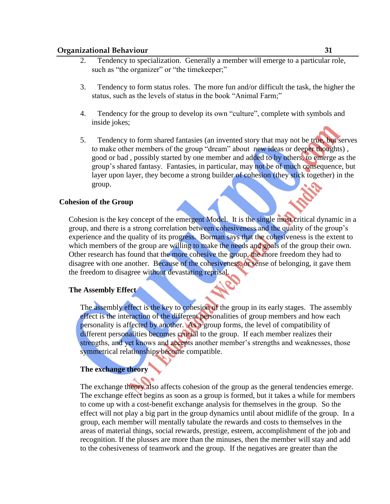- 2. Tendency to specialization. Generally a member will emerge to a particular role, such as "the organizer" or "the timekeeper;"
- 3. Tendency to form status roles. The more fun and/or difficult the task, the higher the status, such as the levels of status in the book "Animal Farm;"
- 4. Tendency for the group to develop its own "culture", complete with symbols and inside jokes;
- 5. Tendency to form shared fantasies (an invented story that may not be true, but serves to make other members of the group "dream" about new ideas or deeper thoughts), good or bad , possibly started by one member and added to by others, to emerge as the group's shared fantasy. Fantasies, in particular, may not be of much consequence, but layer upon layer, they become a strong builder of cohesion (they stick together) in the group.

#### **Cohesion of the Group**

Cohesion is the key concept of the emergent Model. It is the single most critical dynamic in a group, and there is a strong correlation between cohesiveness and the quality of the group's experience and the quality of its progress. Borman says that the cohesiveness is the extent to which members of the group are willing to make the needs and goals of the group their own. Other research has found that the more cohesive the group, the more freedom they had to disagree with one another. Because of the cohesiveness, or sense of belonging, it gave them the freedom to disagree without devastating reprisal.

#### **The Assembly Effect**

The assembly effect is the key to cohesion of the group in its early stages. The assembly effect is the interaction of the different personalities of group members and how each personality is affected by another. As a group forms, the level of compatibility of different personalities becomes crucial to the group. If each member realizes their strengths, and yet knows and accepts another member's strengths and weaknesses, those symmetrical relationships become compatible.

#### **The exchange theory**

The exchange theory also affects cohesion of the group as the general tendencies emerge. The exchange effect begins as soon as a group is formed, but it takes a while for members to come up with a cost-benefit exchange analysis for themselves in the group. So the effect will not play a big part in the group dynamics until about midlife of the group. In a group, each member will mentally tabulate the rewards and costs to themselves in the areas of material things, social rewards, prestige, esteem, accomplishment of the job and recognition. If the plusses are more than the minuses, then the member will stay and add to the cohesiveness of teamwork and the group. If the negatives are greater than the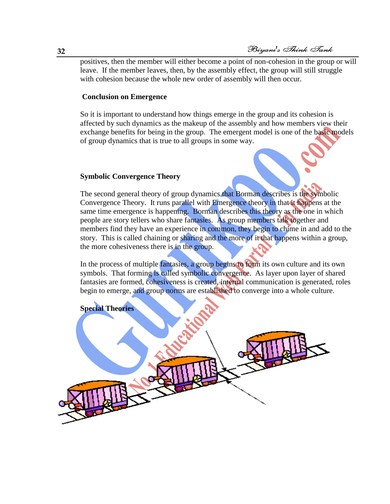positives, then the member will either become a point of non-cohesion in the group or will leave. If the member leaves, then, by the assembly effect, the group will still struggle with cohesion because the whole new order of assembly will then occur.

#### **Conclusion on Emergence**

So it is important to understand how things emerge in the group and its cohesion is affected by such dynamics as the makeup of the assembly and how members view their exchange benefits for being in the group. The emergent model is one of the basic models of group dynamics that is true to all groups in some way.

#### **Symbolic Convergence Theory**

The second general theory of group dynamics that Borman describes is the symbolic Convergence Theory. It runs parallel with Emergence theory in that it happens at the same time emergence is happening. Borman describes this theory as the one in which people are story tellers who share fantasies. As group members talk together and members find they have an experience in common, they begin to chime in and add to the story. This is called chaining or sharing and the more of it that happens within a group, the more cohesiveness there is in the group.

In the process of multiple fantasies, a group begins to form its own culture and its own symbols. That forming is called symbolic convergence. As layer upon layer of shared fantasies are formed, cohesiveness is created, internal communication is generated, roles begin to emerge, and group norms are established to converge into a whole culture.

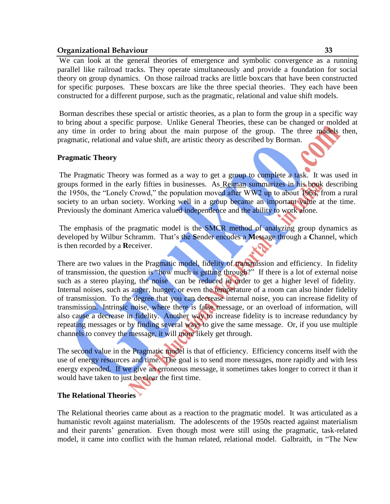We can look at the general theories of emergence and symbolic convergence as a running parallel like railroad tracks. They operate simultaneously and provide a foundation for social theory on group dynamics. On those railroad tracks are little boxcars that have been constructed for specific purposes. These boxcars are like the three special theories. They each have been constructed for a different purpose, such as the pragmatic, relational and value shift models.

Borman describes these special or artistic theories, as a plan to form the group in a specific way to bring about a specific purpose. Unlike General Theories, these can be changed or molded at any time in order to bring about the main purpose of the group. The three models then, pragmatic, relational and value shift, are artistic theory as described by Borman.

#### **Pragmatic Theory**

The Pragmatic Theory was formed as a way to get a group to complete a task. It was used in groups formed in the early fifties in businesses. As [Reiman](http://en.wikipedia.org/wiki/The_Lonely_Crowd) summarizes in his book describing the 1950s, the "Lonely Crowd," the population moved after WW2 up to about 1963, from a rural society to an urban society. Working well in a group became an important value at the time. Previously the dominant America valued independence and the ability to work alone.

The emphasis of the pragmatic model is the SMCR method of analyzing group dynamics as developed by Wilbur Schramm. That's the **S**ender encodes a **M**essage through a **C**hannel, which is then recorded by a **R**eceiver.

There are two values in the Pragmatic model, fidelity of transmission and efficiency. In fidelity of transmission, the question is "how much is getting through?" If there is a lot of external noise such as a stereo playing, the noise can be reduced in order to get a higher level of fidelity. Internal noises, such as anger, hunger, or even the temperature of a room can also hinder fidelity of transmission. To the degree that you can decrease internal noise, you can increase fidelity of transmission. Intrinsic noise, where there is false message, or an overload of information, will also cause a decrease in fidelity. Another way to increase fidelity is to increase redundancy by repeating messages or by finding several ways to give the same message. Or, if you use multiple channels to convey the message, it will more likely get through.

The second value in the Pragmatic model is that of efficiency. Efficiency concerns itself with the use of energy resources and time. The goal is to send more messages, more rapidly and with less energy expended. If we give an erroneous message, it sometimes takes longer to correct it than it would have taken to just be clear the first time.

### **The Relational Theories**

The Relational theories came about as a reaction to the pragmatic model. It was articulated as a humanistic revolt against materialism. The adolescents of the 1950s reacted against materialism and their parents' generation. Even though most were still using the pragmatic, task-related model, it came into conflict with the human related, relational model. Galbraith, in "The New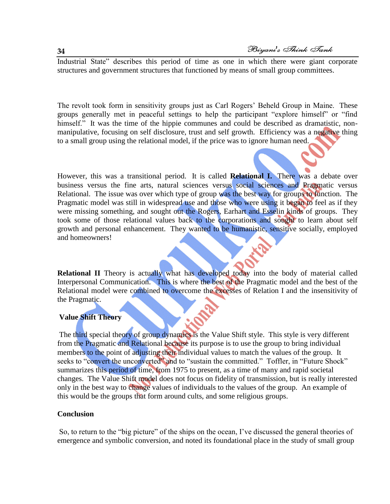Industrial State" describes this period of time as one in which there were giant corporate structures and government structures that functioned by means of small group committees.

The revolt took form in sensitivity groups just as Carl Rogers' Beheld Group in Maine. These groups generally met in peaceful settings to help the participant "explore himself" or "find himself." It was the time of the hippie communes and could be described as dramatistic, nonmanipulative, focusing on self disclosure, trust and self growth. Efficiency was a negative thing to a small group using the relational model, if the price was to ignore human need.

However, this was a transitional period. It is called **Relational I.** There was a debate over business versus the fine arts, natural sciences versus social sciences and Pragmatic versus Relational. The issue was over which type of group was the best way for groups to function. The Pragmatic model was still in widespread use and those who were using it began to feel as if they were missing something, and sought out the Rogers, Earhart and Esselin kinds of groups. They took some of those relational values back to the corporations and sought to learn about self growth and personal enhancement. They wanted to be humanistic, sensitive socially, employed and homeowners!

**Relational II** Theory is actually what has developed today into the body of material called Interpersonal Communication. This is where the best of the Pragmatic model and the best of the Relational model were combined to overcome the excesses of Relation I and the insensitivity of the Pragmatic.

#### **Value Shift Theory**

The third special theory of group dynamics is the Value Shift style. This style is very different from the Pragmatic and Relational because its purpose is to use the group to bring individual members to the point of adjusting their individual values to match the values of the group. It seeks to "convert the unconverted" and to "sustain the committed." Toffler, in "Future Shock" summarizes this period of time, from 1975 to present, as a time of many and rapid societal changes. The Value Shift model does not focus on fidelity of transmission, but is really interested only in the best way to change values of individuals to the values of the group. An example of this would be the groups that form around cults, and some religious groups.

#### **Conclusion**

So, to return to the "big picture" of the ships on the ocean, I've discussed the general theories of emergence and symbolic conversion, and noted its foundational place in the study of small group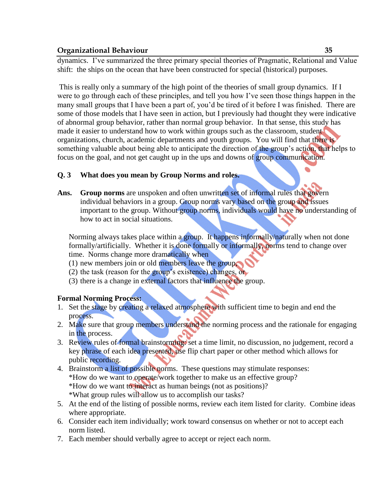dynamics. I've summarized the three primary special theories of Pragmatic, Relational and Value shift: the ships on the ocean that have been constructed for special (historical) purposes.

This is really only a summary of the high point of the theories of small group dynamics. If I were to go through each of these principles, and tell you how I've seen those things happen in the many small groups that I have been a part of, you'd be tired of it before I was finished. There are some of those models that I have seen in action, but I previously had thought they were indicative of abnormal group behavior, rather than normal group behavior. In that sense, this study has made it easier to understand how to work within groups such as the classroom, student organizations, church, academic departments and youth groups. You will find that there is something valuable about being able to anticipate the direction of the group's action, that helps to focus on the goal, and not get caught up in the ups and downs of group communication.

# **Q. 3 What does you mean by Group Norms and roles.**

**Ans. Group norms** are unspoken and often unwritten set of informal rules that govern individual behaviors in a group. Group norms vary based on the group and issues important to the group. Without group norms, individuals would have no understanding of how to act in social situations.

Norming always takes place within a group. It happens informally/naturally when not done formally/artificially. Whether it is done formally or informally, norms tend to change over time. Norms change more dramatically when

- (1) new members join or old members leave the group,
- (2) the task (reason for the group's existence) changes, or
- (3) there is a change in external factors that influence the group.

# **Formal Norming Process:**

- 1. Set the stage by creating a relaxed atmosphere with sufficient time to begin and end the process.
- 2. Make sure that group members understand the norming process and the rationale for engaging in the process.
- 3. Review rules of formal brainstorming: set a time limit, no discussion, no judgement, record a key phrase of each idea presented, use flip chart paper or other method which allows for public recording.
- 4. Brainstorm a list of possible norms. These questions may stimulate responses: \*How do we want to operate/work together to make us an effective group? \*How do we want to interact as human beings (not as positions)? \*What group rules will allow us to accomplish our tasks?
- 5. At the end of the listing of possible norms, review each item listed for clarity. Combine ideas where appropriate.
- 6. Consider each item individually; work toward consensus on whether or not to accept each norm listed.
- 7. Each member should verbally agree to accept or reject each norm.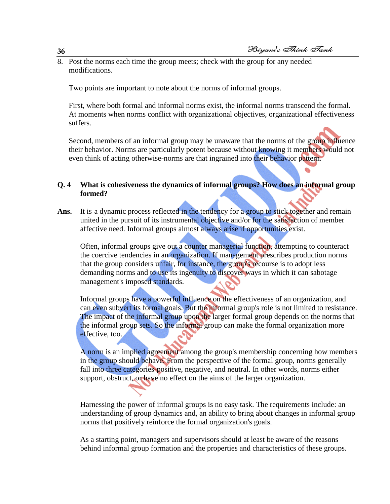8. Post the norms each time the group meets; check with the group for any needed modifications.

Two points are important to note about the norms of informal groups.

First, where both formal and informal norms exist, the informal norms transcend the formal. At moments when norms conflict with organizational objectives, organizational effectiveness suffers.

Second, members of an informal group may be unaware that the norms of the group influence their behavior. Norms are particularly potent because without knowing it members would not even think of acting otherwise-norms are that ingrained into their behavior pattern.

## **Q. 4 What is cohesiveness the dynamics of informal groups? How does an informal group formed?**

Ans. It is a dynamic process reflected in the tendency for a group to stick together and remain united in the pursuit of its instrumental objective and/or for the satisfaction of member affective need. Informal groups almost always arise if opportunities exist.

Often, informal groups give out a counter managerial function, attempting to counteract the coercive tendencies in an organization. If management prescribes production norms that the group considers unfair, for instance, the group's recourse is to adopt less demanding norms and to use its ingenuity to discover ways in which it can sabotage management's imposed standards.

Informal groups have a powerful influence on the effectiveness of an organization, and can even subvert its formal goals. But the informal group's role is not limited to resistance. The impact of the informal group upon the larger formal group depends on the norms that the informal group sets. So the informal group can make the formal organization more effective, too.

A norm is an implied agreement among the group's membership concerning how members in the group should behave. From the perspective of the formal group, norms generally fall into three categories-positive, negative, and neutral. In other words, norms either support, obstruct, or have no effect on the aims of the larger organization.

Harnessing the power of informal groups is no easy task. The requirements include: an understanding of group dynamics and, an ability to bring about changes in informal group norms that positively reinforce the formal organization's goals.

As a starting point, managers and supervisors should at least be aware of the reasons behind informal group formation and the properties and characteristics of these groups.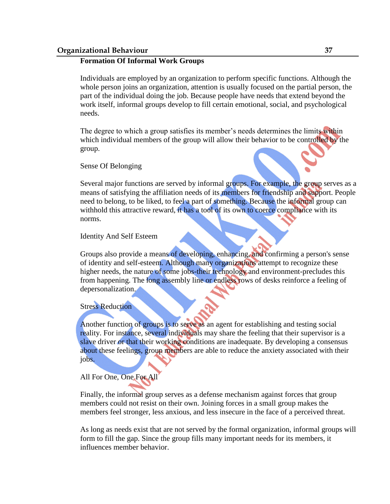#### **Formation Of Informal Work Groups**

Individuals are employed by an organization to perform specific functions. Although the whole person joins an organization, attention is usually focused on the partial person, the part of the individual doing the job. Because people have needs that extend beyond the work itself, informal groups develop to fill certain emotional, social, and psychological needs.

The degree to which a group satisfies its member's needs determines the limits within which individual members of the group will allow their behavior to be controlled by the group.

#### Sense Of Belonging

Several major functions are served by informal groups. For example, the group serves as a means of satisfying the affiliation needs of its members for friendship and support. People need to belong, to be liked, to feel a part of something. Because the informal group can withhold this attractive reward, it has a tool of its own to coerce compliance with its norms.

#### Identity And Self Esteem

Groups also provide a means of developing, enhancing, and confirming a person's sense of identity and self-esteem. Although many organizations attempt to recognize these higher needs, the nature of some jobs-their technology and environment-precludes this from happening. The long assembly line or endless rows of desks reinforce a feeling of depersonalization.

#### Stress Reduction

Another function of groups is to serve as an agent for establishing and testing social reality. For instance, several individuals may share the feeling that their supervisor is a slave driver or that their working conditions are inadequate. By developing a consensus about these feelings, group members are able to reduce the anxiety associated with their jobs.

#### All For One, One For All

Finally, the informal group serves as a defense mechanism against forces that group members could not resist on their own. Joining forces in a small group makes the members feel stronger, less anxious, and less insecure in the face of a perceived threat.

As long as needs exist that are not served by the formal organization, informal groups will form to fill the gap. Since the group fills many important needs for its members, it influences member behavior.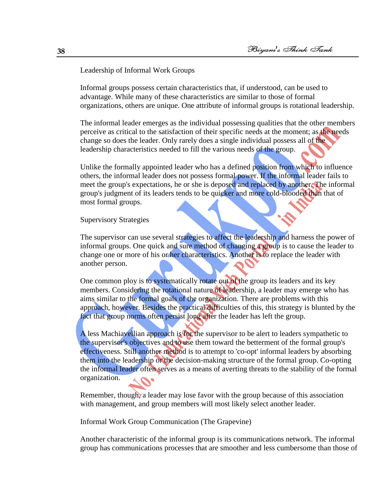#### Leadership of Informal Work Groups

Informal groups possess certain characteristics that, if understood, can be used to advantage. While many of these characteristics are similar to those of formal organizations, others are unique. One attribute of informal groups is rotational leadership.

The informal leader emerges as the individual possessing qualities that the other members perceive as critical to the satisfaction of their specific needs at the moment; as the needs change so does the leader. Only rarely does a single individual possess all of the leadership characteristics needed to fill the various needs of the group.

Unlike the formally appointed leader who has a defined position from which to influence others, the informal leader does not possess formal power. If the informal leader fails to meet the group's expectations, he or she is deposed and replaced by another. The informal group's judgment of its leaders tends to be quicker and more cold-blooded than that of most formal groups.

#### Supervisory Strategies

The supervisor can use several strategies to affect the leadership and harness the power of informal groups. One quick and sure method of changing a group is to cause the leader to change one or more of his or her characteristics. Another is to replace the leader with another person.

One common ploy is to systematically rotate out of the group its leaders and its key members. Considering the rotational nature of leadership, a leader may emerge who has aims similar to the formal goals of the organization. There are problems with this approach, however. Besides the practical difficulties of this, this strategy is blunted by the fact that group norms often persist long after the leader has left the group.

A less Machiavellian approach is for the supervisor to be alert to leaders sympathetic to the supervisor's objectives and to use them toward the betterment of the formal group's effectiveness. Still another method is to attempt to 'co-opt' informal leaders by absorbing them into the leadership or the decision-making structure of the formal group. Co-opting the informal leader often serves as a means of averting threats to the stability of the formal organization.

Remember, though, a leader may lose favor with the group because of this association with management, and group members will most likely select another leader.

Informal Work Group Communication (The Grapevine)

Another characteristic of the informal group is its communications network. The informal group has communications processes that are smoother and less cumbersome than those of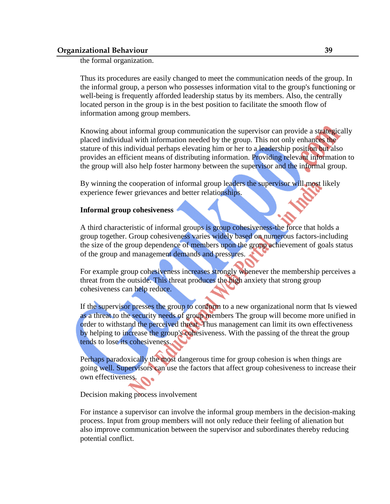the formal organization.

Thus its procedures are easily changed to meet the communication needs of the group. In the informal group, a person who possesses information vital to the group's functioning or well-being is frequently afforded leadership status by its members. Also, the centrally located person in the group is in the best position to facilitate the smooth flow of information among group members.

Knowing about informal group communication the supervisor can provide a strategically placed individual with information needed by the group. This not only enhances the stature of this individual perhaps elevating him or her to a leadership position but also provides an efficient means of distributing information. Providing relevant information to the group will also help foster harmony between the supervisor and the informal group.

By winning the cooperation of informal group leaders the supervisor will most likely experience fewer grievances and better relationships.

#### **Informal group cohesiveness**

A third characteristic of informal groups is group cohesiveness-the force that holds a group together. Group cohesiveness varies widely based on numerous factors-including the size of the group dependence of members upon the group achievement of goals status of the group and management demands and pressures.

For example group cohesiveness increases strongly whenever the membership perceives a threat from the outside. This threat produces the high anxiety that strong group cohesiveness can help reduce.

If the supervisor presses the group to conform to a new organizational norm that Is viewed as a threat to the security needs of group members The group will become more unified in order to withstand the perceived threat. Thus management can limit its own effectiveness by helping to increase the group's cohesiveness. With the passing of the threat the group tends to lose its cohesiveness.

Perhaps paradoxically the most dangerous time for group cohesion is when things are going well. Supervisors can use the factors that affect group cohesiveness to increase their own effectiveness.

Decision making process involvement

For instance a supervisor can involve the informal group members in the decision-making process. Input from group members will not only reduce their feeling of alienation but also improve communication between the supervisor and subordinates thereby reducing potential conflict.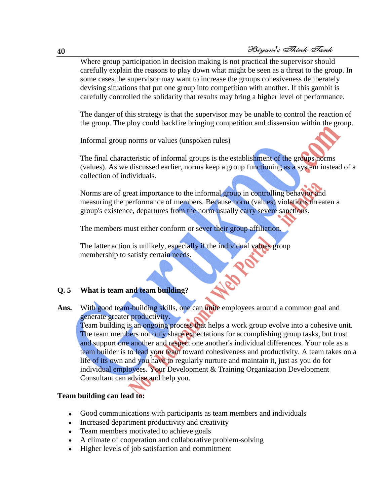Where group participation in decision making is not practical the supervisor should carefully explain the reasons to play down what might be seen as a threat to the group. In some cases the supervisor may want to increase the groups cohesiveness deliberately devising situations that put one group into competition with another. If this gambit is carefully controlled the solidarity that results may bring a higher level of performance.

The danger of this strategy is that the supervisor may be unable to control the reaction of the group. The ploy could backfire bringing competition and dissension within the group.

Informal group norms or values (unspoken rules)

The final characteristic of informal groups is the establishment of the groups norms (values). As we discussed earlier, norms keep a group functioning as a system instead of a collection of individuals.

Norms are of great importance to the informal group in controlling behavior and measuring the performance of members. Because norm (values) violations threaten a group's existence, departures from the norm usually carry severe sanctions.

The members must either conform or sever their group affiliation.

The latter action is unlikely, especially if the individual values group membership to satisfy certain needs.

#### **Q. 5 What is team and team building?**

Ans. With good team-building skills, one can unite employees around a common goal and generate greater productivity.

Team building is an ongoing process that helps a work group evolve into a cohesive unit. The team members not only share expectations for accomplishing group tasks, but trust and support one another and respect one another's individual differences. Your role as a team builder is to lead your team toward cohesiveness and productivity. A team takes on a life of its own and you have to regularly nurture and maintain it, just as you do for individual employees. Your Development & Training Organization Development Consultant can advise and help you.

#### **Team building can lead to:**

- Good communications with participants as team members and individuals
- Increased department productivity and creativity
- Team members motivated to achieve goals
- A climate of cooperation and collaborative problem-solving
- Higher levels of job satisfaction and commitment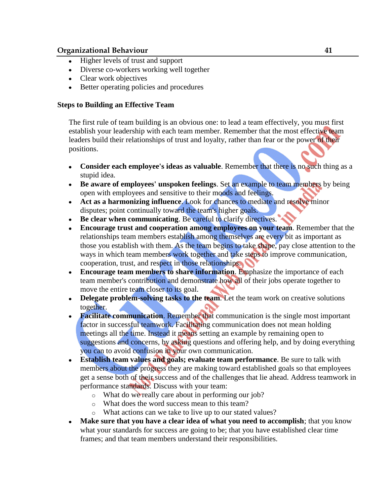- Higher levels of trust and support
- Diverse co-workers working well together
- Clear work objectives
- Better operating policies and procedures

## **Steps to Building an Effective Team**

The first rule of team building is an obvious one: to lead a team effectively, you must first establish your leadership with each team member. Remember that the most effective team leaders build their relationships of trust and loyalty, rather than fear or the power of their positions.

- **Consider each employee's ideas as valuable**. Remember that there is no such thing as a  $\bullet$ stupid idea.
- **Be aware of employees' unspoken feelings**. Set an example to team members by being open with employees and sensitive to their moods and feelings.
- **Act as a harmonizing influence**. Look for chances to mediate and resolve minor disputes; point continually toward the team's higher goals.
- **Be clear when communicating**. Be careful to clarify directives.
- **Encourage trust and cooperation among employees on your team**. Remember that the relationships team members establish among themselves are every bit as important as those you establish with them. As the team begins to take shape, pay close attention to the ways in which team members work together and take steps to improve communication, cooperation, trust, and respect in those relationships.
- **Encourage team members to share information**. Emphasize the importance of each team member's contribution and demonstrate how all of their jobs operate together to move the entire team closer to its goal.
- **Delegate problem-solving tasks to the team**. Let the team work on creative solutions together.
- **Facilitate communication.** Remember that communication is the single most important factor in successful teamwork. Facilitating communication does not mean holding meetings all the time. Instead it means setting an example by remaining open to suggestions and concerns, by asking questions and offering help, and by doing everything you can to avoid confusion in your own communication.
- **Establish team values and goals; evaluate team performance**. Be sure to talk with members about the progress they are making toward established goals so that employees get a sense both of their success and of the challenges that lie ahead. Address teamwork in performance standards. Discuss with your team:
	- o What do we really care about in performing our job?
	- o What does the word success mean to this team?
	- o What actions can we take to live up to our stated values?
- **Make sure that you have a clear idea of what you need to accomplish**; that you know what your standards for success are going to be; that you have established clear time frames; and that team members understand their responsibilities.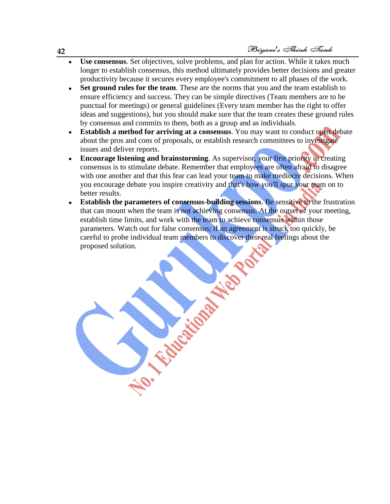- **Use consensus**. Set objectives, solve problems, and plan for action. While it takes much longer to establish consensus, this method ultimately provides better decisions and greater productivity because it secures every employee's commitment to all phases of the work.
- $\bullet$ **Set ground rules for the team**. These are the norms that you and the team establish to ensure efficiency and success. They can be simple directives (Team members are to be punctual for meetings) or general guidelines (Every team member has the right to offer ideas and suggestions), but you should make sure that the team creates these ground rules by consensus and commits to them, both as a group and as individuals.
- $\bullet$ **Establish a method for arriving at a consensus**. You may want to conduct open debate about the pros and cons of proposals, or establish research committees to investigate issues and deliver reports.
- **Encourage listening and brainstorming**. As supervisor, your first priority in creating  $\bullet$ consensus is to stimulate debate. Remember that employees are often afraid to disagree with one another and that this fear can lead your team to make mediocre decisions. When you encourage debate you inspire creativity and that's how you'll spur your team on to better results.
- $\bullet$ **Establish the parameters of consensus-building sessions**. Be sensitive to the frustration that can mount when the team is not achieving consensus. At the outset of your meeting, establish time limits, and work with the team to achieve consensus within those parameters. Watch out for false consensus; if an agreement is struck too quickly, be careful to probe individual team members to discover their real feelings about the proposed solution.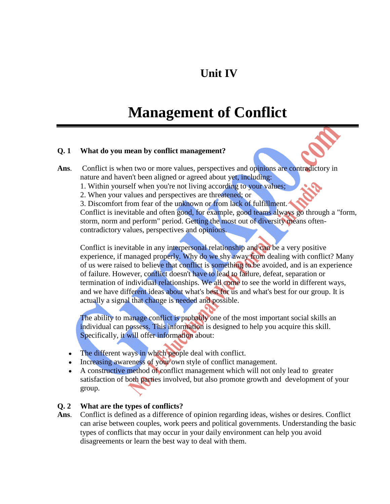## **Unit IV**

# **Management of Conflict**

### **Q. 1 What do you mean by conflict management?**

- Ans. Conflict is when two or more values, perspectives and opinions are contradictory in nature and haven't been aligned or agreed about yet, including:
	- 1. Within yourself when you're not living according to your values;
	- 2. When your values and perspectives are threatened; or
	- 3. Discomfort from fear of the unknown or from lack of fulfillment.

Conflict is inevitable and often good, for example, good teams always go through a "form, storm, norm and perform" period. Getting the most out of diversity means oftencontradictory values, perspectives and opinions.

Conflict is inevitable in any interpersonal relationship and can be a very positive experience, if managed properly. Why do we shy away from dealing with conflict? Many of us were raised to believe that conflict is something to be avoided, and is an experience of failure. However, conflict doesn't have to lead to failure, defeat, separation or termination of individual relationships. We all come to see the world in different ways, and we have different ideas about what's best for us and what's best for our group. It is actually a signal that change is needed and possible.

The ability to manage conflict is probably one of the most important social skills an individual can possess. This information is designed to help you acquire this skill. Specifically, it will offer information about:

- The different ways in which people deal with conflict.  $\bullet$
- Increasing awareness of your own style of conflict management.
- A constructive method of conflict management which will not only lead to greater  $\bullet$ satisfaction of both parties involved, but also promote growth and development of your group.

## **Q. 2 What are the types of conflicts?**

**Ans**. Conflict is defined as a difference of opinion regarding ideas, wishes or desires. Conflict can arise between couples, work peers and political governments. Understanding the basic types of conflicts that may occur in your daily environment can help you avoid disagreements or learn the best way to deal with them.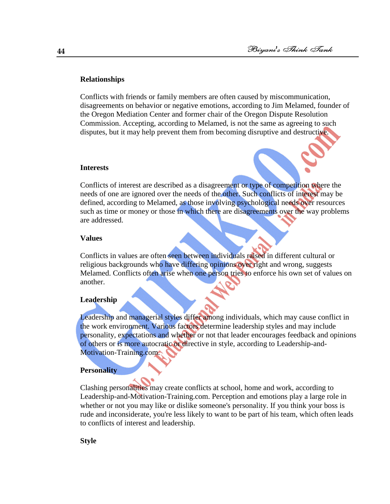#### **Relationships**

Conflicts with friends or family members are often caused by miscommunication, disagreements on behavior or negative emotions, according to Jim Melamed, founder of the Oregon Mediation Center and former chair of the Oregon Dispute Resolution Commission. Accepting, according to Melamed, is not the same as agreeing to such disputes, but it may help prevent them from becoming disruptive and destructive.

#### **Interests**

Conflicts of interest are described as a disagreement or type of competition where the needs of one are ignored over the needs of the other. Such conflicts of interest may be defined, according to Melamed, as those involving psychological needs over resources such as time or money or those in which there are disagreements over the way problems are addressed.

#### **Values**

Conflicts in values are often seen between individuals raised in different cultural or religious backgrounds who have differing opinions over right and wrong, suggests Melamed. Conflicts often arise when one person tries to enforce his own set of values on another.

#### **Leadership**

Leadership and managerial styles differ among individuals, which may cause conflict in the work environment. Various factors determine leadership styles and may include personality, expectations and whether or not that leader encourages feedback and opinions of others or is more autocratic or directive in style, according to Leadership-and-Motivation-Training.com.

#### **Personality**

Clashing personalities may create conflicts at school, home and work, according to Leadership-and-Motivation-Training.com. Perception and emotions play a large role in whether or not you may like or dislike someone's personality. If you think your boss is rude and inconsiderate, you're less likely to want to be part of his team, which often leads to conflicts of interest and leadership.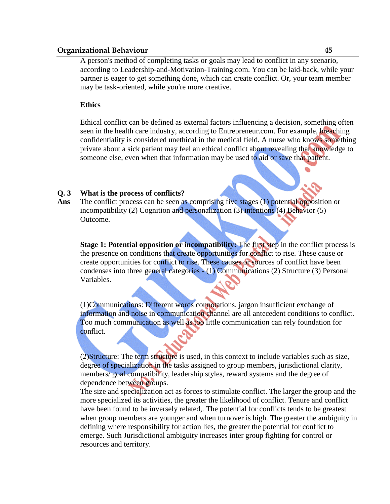A person's method of completing tasks or goals may lead to conflict in any scenario, according to Leadership-and-Motivation-Training.com. You can be laid-back, while your partner is eager to get something done, which can create conflict. Or, your team member may be task-oriented, while you're more creative.

## **Ethics**

Ethical conflict can be defined as external factors influencing a decision, something often seen in the health care industry, according to Entrepreneur.com. For example, breaching confidentiality is considered unethical in the medical field. A nurse who knows something private about a sick patient may feel an ethical conflict about revealing that knowledge to someone else, even when that information may be used to aid or save that patient.

## **Q. 3 What is the process of conflicts?**

**Ans** The conflict process can be seen as comprising five stages (1) potential opposition or incompatibility (2) Cognition and personalization (3) intentions (4) Behavior (5) Outcome.

**Stage 1: Potential opposition or incompatibility:** The first step in the conflict process is the presence on conditions that create opportunities for conflict to rise. These cause or create opportunities for conflict to rise. These causes or sources of conflict have been condenses into three general categories - (1) Communications (2) Structure (3) Personal Variables.

(1)Communications: Different words connotations, jargon insufficient exchange of information and noise in communication channel are all antecedent conditions to conflict. Too much communication as well as too little communication can rely foundation for conflict.

(2)Structure: The term structure is used, in this context to include variables such as size, degree of specialization in the tasks assigned to group members, jurisdictional clarity, members/ goal compatibility, leadership styles, reward systems and the degree of dependence between groups.

The size and specialization act as forces to stimulate conflict. The larger the group and the more specialized its activities, the greater the likelihood of conflict. Tenure and conflict have been found to be inversely related,. The potential for conflicts tends to be greatest when group members are younger and when turnover is high. The greater the ambiguity in defining where responsibility for action lies, the greater the potential for conflict to emerge. Such Jurisdictional ambiguity increases inter group fighting for control or resources and territory.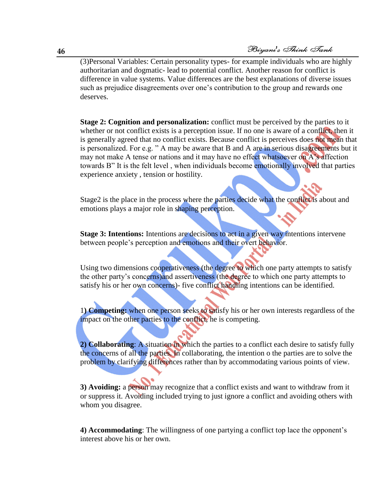(3)Personal Variables: Certain personality types- for example individuals who are highly authoritarian and dogmatic- lead to potential conflict. Another reason for conflict is difference in value systems. Value differences are the best explanations of diverse issues such as prejudice disagreements over one's contribution to the group and rewards one deserves.

**Stage 2: Cognition and personalization:** conflict must be perceived by the parties to it whether or not conflict exists is a perception issue. If no one is aware of a conflict, then it is generally agreed that no conflict exists. Because conflict is perceives does not mean that is personalized. For e.g.  $\degree$  A may be aware that B and A are in serious disagreements but it may not make A tense or nations and it may have no effect whatsoever on A's affection towards B" It is the felt level, when individuals become emotionally involved that parties experience anxiety , tension or hostility.

Stage2 is the place in the process where the parties decide what the conflict is about and emotions plays a major role in shaping perception.

**Stage 3: Intentions:** Intentions are decisions to act in a given way intentions intervene between people's perception and emotions and their overt behavior.

Using two dimensions cooperativeness (the degree to which one party attempts to satisfy the other party's concerns)and assertiveness (the degree to which one party attempts to satisfy his or her own concerns)- five conflict handling intentions can be identified.

1**) Competing:** when one person seeks to satisfy his or her own interests regardless of the impact on the other parties to the conflict, he is competing.

**2) Collaborating**: A situation in which the parties to a conflict each desire to satisfy fully the concerns of all the parties. In collaborating, the intention o the parties are to solve the problem by clarifying differences rather than by accommodating various points of view.

**3) Avoiding:** a person may recognize that a conflict exists and want to withdraw from it or suppress it. Avoiding included trying to just ignore a conflict and avoiding others with whom you disagree.

**4) Accommodating**: The willingness of one partying a conflict top lace the opponent's interest above his or her own.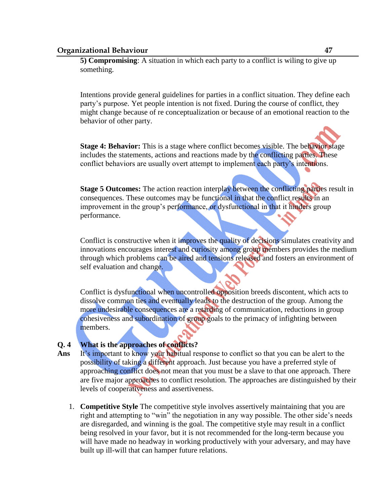**5) Compromising**: A situation in which each party to a conflict is wiling to give up something.

Intentions provide general guidelines for parties in a conflict situation. They define each party's purpose. Yet people intention is not fixed. During the course of conflict, they might change because of re conceptualization or because of an emotional reaction to the behavior of other party.

**Stage 4: Behavior:** This is a stage where conflict becomes visible. The behavior stage includes the statements, actions and reactions made by the conflicting parties. These conflict behaviors are usually overt attempt to implement each party's intentions.

**Stage 5 Outcomes:** The action reaction interplay between the conflicting parties result in consequences. These outcomes may be functional in that the conflict results in an improvement in the group's performance, or dysfunctional in that it hinders group performance.

Conflict is constructive when it improves the quality of decisions simulates creativity and innovations encourages interest and curiosity among group members provides the medium through which problems can be aired and tensions released and fosters an environment of self evaluation and change.

Conflict is dysfunctional when uncontrolled opposition breeds discontent, which acts to dissolve common ties and eventually leads to the destruction of the group. Among the more undesirable consequences are a retarding of communication, reductions in group cohesiveness and subordination of group goals to the primacy of infighting between members.

## **Q. 4 What is the approaches of conflicts?**

- Ans It's important to know your habitual response to conflict so that you can be alert to the possibility of taking a different approach. Just because you have a preferred style of approaching conflict does not mean that you must be a slave to that one approach. There are five major approaches to conflict resolution. The approaches are distinguished by their levels of cooperativeness and assertiveness.
	- 1. **Competitive Style** The competitive style involves assertively maintaining that you are right and attempting to "win" the negotiation in any way possible. The other side's needs are disregarded, and winning is the goal. The competitive style may result in a conflict being resolved in your favor, but it is not recommended for the long-term because you will have made no headway in working productively with your adversary, and may have built up ill-will that can hamper future relations.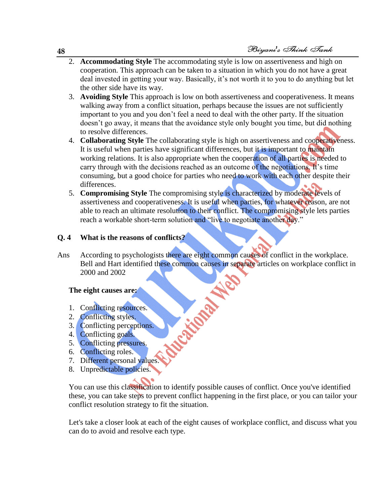- 2. **Accommodating Style** The accommodating style is low on assertiveness and high on cooperation. This approach can be taken to a situation in which you do not have a great deal invested in getting your way. Basically, it's not worth it to you to do anything but let the other side have its way.
- 3. **Avoiding Style** This approach is low on both assertiveness and cooperativeness. It means walking away from a conflict situation, perhaps because the issues are not sufficiently important to you and you don't feel a need to deal with the other party. If the situation doesn't go away, it means that the avoidance style only bought you time, but did nothing to resolve differences.
- 4. **Collaborating Style** The collaborating style is high on assertiveness and cooperativeness. It is useful when parties have significant differences, but it is important to maintain working relations. It is also appropriate when the cooperation of all parties is needed to carry through with the decisions reached as an outcome of the negotiations. It's time consuming, but a good choice for parties who need to work with each other despite their differences.
- 5. **Compromising Style** The compromising style is characterized by moderate levels of assertiveness and cooperativeness. It is useful when parties, for whatever reason, are not able to reach an ultimate resolution to their conflict. The compromising style lets parties reach a workable short-term solution and "live to negotiate another day."

### **Q. 4 What is the reasons of conflicts?**

Ans According to psychologists there are eight common causes of conflict in the workplace.<br>
Bell and Hart identified these common causes in separate articles on workplace conflict<br>
2000 and 2002<br>
The eight causes are:<br>
1. Bell and Hart identified these common causes in separate articles on workplace conflict in 2000 and 2002

#### **The eight causes are:**

- 1. Conflicting resources.
- 2. Conflicting styles.
- 3. Conflicting perceptions.
- 4. Conflicting goals.
- 5. Conflicting pressures.
- 6. Conflicting roles.
- 7. Different personal values.
- 8. Unpredictable policies.

You can use this classification to identify possible causes of conflict. Once you've identified these, you can take steps to prevent conflict happening in the first place, or you can tailor your conflict resolution strategy to fit the situation.

Let's take a closer look at each of the eight causes of workplace conflict, and discuss what you can do to avoid and resolve each type.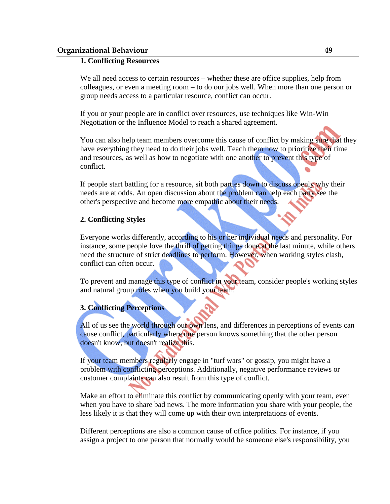#### **1. Conflicting Resources**

We all need access to certain resources – whether these are office supplies, help from colleagues, or even a meeting room – to do our jobs well. When more than one person or group needs access to a particular resource, conflict can occur.

If you or your people are in conflict over resources, use techniques like Win-Win Negotiation or the Influence Model to reach a shared agreement.

You can also help team members overcome this cause of conflict by making sure that they have everything they need to do their jobs well. Teach them how to prioritize their time and resources, as well as how to negotiate with one another to prevent this type of conflict.

If people start battling for a resource, sit both parties down to discuss openly why their needs are at odds. An open discussion about the problem can help each party see the other's perspective and become more empathic about their needs.

#### **2. Conflicting Styles**

Everyone works differently, according to his or her individual needs and personality. For instance, some people love the thrill of getting things done at the last minute, while others need the structure of strict deadlines to perform. However, when working styles clash, conflict can often occur.

To prevent and manage this type of conflict in your team, consider people's working styles and natural group roles when you build your team.

## **3. Conflicting Perceptions**

All of us see the world through our own lens, and differences in perceptions of events can cause conflict, particularly where one person knows something that the other person doesn't know, but doesn't realize this.

If your team members regularly engage in "turf wars" or gossip, you might have a problem with conflicting perceptions. Additionally, negative performance reviews or customer complaints can also result from this type of conflict.

Make an effort to eliminate this conflict by communicating openly with your team, even when you have to share bad news. The more information you share with your people, the less likely it is that they will come up with their own interpretations of events.

Different perceptions are also a common cause of office politics. For instance, if you assign a project to one person that normally would be someone else's responsibility, you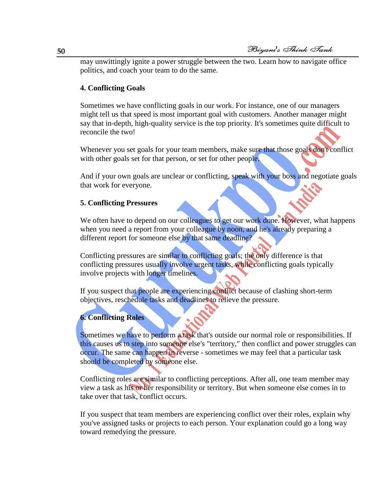may unwittingly ignite a power struggle between the two. Learn how to navigate office politics, and coach your team to do the same.

#### **4. Conflicting Goals**

Sometimes we have conflicting goals in our work. For instance, one of our managers might tell us that speed is most important goal with customers. Another manager might say that in-depth, high-quality service is the top priority. It's sometimes quite difficult to reconcile the two!

Whenever you set goals for your team members, make sure that those goals don't conflict with other goals set for that person, or set for other people.

And if your own goals are unclear or conflicting, speak with your boss and negotiate goals that work for everyone.

#### **5. Conflicting Pressures**

We often have to depend on our colleagues to get our work done. However, what happens when you need a report from your colleague by noon, and he's already preparing a different report for someone else by that same deadline?

Conflicting pressures are similar to conflicting goals; the only difference is that conflicting pressures usually involve urgent tasks, while conflicting goals typically involve projects with longer timelines.

If you suspect that people are experiencing conflict because of clashing short-term objectives, reschedule tasks and deadlines to relieve the pressure.

#### **6. Conflicting Roles**

Sometimes we have to perform a task that's outside our normal role or responsibilities. If this causes us to step into someone else's "territory," then conflict and power struggles can occur. The same can happen in reverse - sometimes we may feel that a particular task should be completed by someone else.

Conflicting roles are similar to conflicting perceptions. After all, one team member may view a task as his or her responsibility or territory. But when someone else comes in to take over that task, conflict occurs.

If you suspect that team members are experiencing conflict over their roles, explain why you've assigned tasks or projects to each person. Your explanation could go a long way toward remedying the pressure.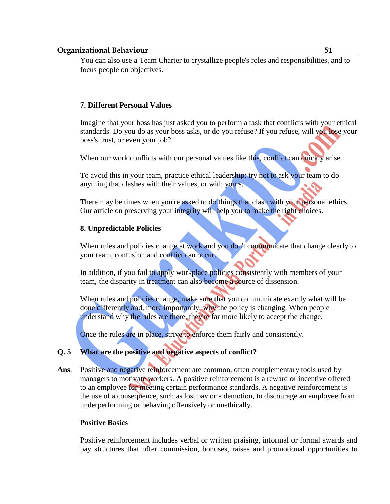You can also use a Team Charter to crystallize people's roles and responsibilities, and to focus people on objectives.

## **7. Different Personal Values**

Imagine that your boss has just asked you to perform a task that conflicts with your ethical standards. Do you do as your boss asks, or do you refuse? If you refuse, will you lose your boss's trust, or even your job?

When our work conflicts with our personal values like this, conflict can quickly arise.

To avoid this in your team, practice ethical leadership: try not to ask your team to do anything that clashes with their values, or with yours.

There may be times when you're asked to do things that clash with your personal ethics. Our article on preserving your integrity will help you to make the right choices.

## **8. Unpredictable Policies**

When rules and policies change at work and you don't communicate that change clearly to your team, confusion and conflict can occur.

In addition, if you fail to apply workplace policies consistently with members of your team, the disparity in treatment can also become a source of dissension.

When rules and policies change, make sure that you communicate exactly what will be done differently and, more importantly, why the policy is changing. When people understand why the rules are there, they're far more likely to accept the change.

Once the rules are in place, strive to enforce them fairly and consistently.

## **Q. 5 What are the positive and negative aspects of conflict?**

**Ans**. Positive and negative reinforcement are common, often complementary tools used by managers to motivate workers. A positive reinforcement is a reward or incentive offered to an employee for meeting certain performance standards. A negative reinforcement is the use of a consequence, such as lost pay or a demotion, to discourage an employee from underperforming or behaving offensively or unethically.

## **Positive Basics**

Positive reinforcement includes verbal or written praising, informal or formal awards and pay structures that offer commission, bonuses, raises and promotional opportunities to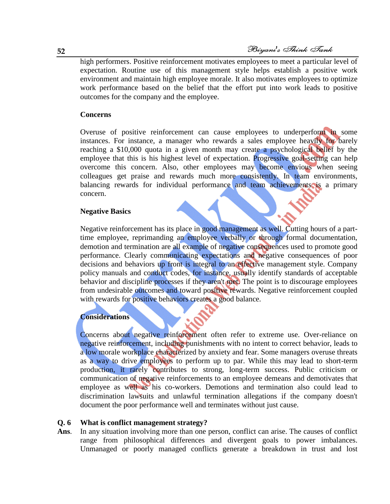high performers. Positive reinforcement motivates employees to meet a particular level of expectation. Routine use of this management style helps establish a positive work environment and maintain high employee morale. It also motivates employees to optimize work performance based on the belief that the effort put into work leads to positive outcomes for the company and the employee.

#### **Concerns**

Overuse of positive reinforcement can cause employees to underperform in some instances. For instance, a manager who rewards a sales employee heavily for barely reaching a \$10,000 quota in a given month may create a psychological belief by the employee that this is his highest level of expectation. Progressive goal-setting can help overcome this concern. Also, other employees may become envious when seeing colleagues get praise and rewards much more consistently. In team environments, balancing rewards for individual performance and team achievements is a primary concern.

#### **Negative Basics**

Negative reinforcement has its place in good management as well. Cutting hours of a parttime employee, reprimanding an employee verbally or through formal documentation, demotion and termination are all example of negative consequences used to promote good performance. Clearly communicating expectations and negative consequences of poor decisions and behaviors up front is integral to an effective management style. Company policy manuals and conduct codes, for instance, usually identify standards of acceptable behavior and discipline processes if they aren't met. The point is to discourage employees from undesirable outcomes and toward positive rewards. Negative reinforcement coupled with rewards for positive behaviors creates a good balance.

## **Considerations**

Concerns about negative reinforcement often refer to extreme use. Over-reliance on negative reinforcement, including punishments with no intent to correct behavior, leads to a low morale workplace characterized by anxiety and fear. Some managers overuse threats as a way to drive employees to perform up to par. While this may lead to short-term production, it rarely contributes to strong, long-term success. Public criticism or communication of negative reinforcements to an employee demeans and demotivates that employee as well as his co-workers. Demotions and termination also could lead to discrimination lawsuits and unlawful termination allegations if the company doesn't document the poor performance well and terminates without just cause.

#### **Q. 6 What is conflict management strategy?**

**Ans**. In any situation involving more than one person, conflict can arise. The causes of conflict range from philosophical differences and divergent goals to power imbalances. Unmanaged or poorly managed conflicts generate a breakdown in trust and lost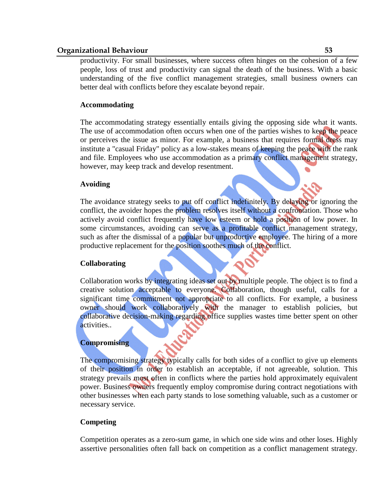productivity. For small businesses, where success often hinges on the cohesion of a few people, loss of trust and productivity can signal the death of the business. With a basic understanding of the five conflict management strategies, small business owners can better deal with conflicts before they escalate beyond repair.

## **Accommodating**

The accommodating strategy essentially entails giving the opposing side what it wants. The use of accommodation often occurs when one of the parties wishes to keep the peace or perceives the issue as minor. For example, a business that requires formal dress may institute a "casual Friday" policy as a low-stakes means of keeping the peace with the rank and file. Employees who use accommodation as a primary conflict management strategy, however, may keep track and develop resentment.

### **Avoiding**

The avoidance strategy seeks to put off conflict indefinitely. By delaying or ignoring the conflict, the avoider hopes the problem resolves itself without a confrontation. Those who actively avoid conflict frequently have low esteem or hold a position of low power. In some circumstances, avoiding can serve as a profitable conflict management strategy, such as after the dismissal of a popular but unproductive employee. The hiring of a more productive replacement for the position soothes much of the conflict.

## **Collaborating**

Collaboration works by integrating ideas set out by multiple people. The object is to find a creative solution acceptable to everyone. Collaboration, though useful, calls for a significant time commitment not appropriate to all conflicts. For example, a business owner should work collaboratively with the manager to establish policies, but collaborative decision-making regarding office supplies wastes time better spent on other activities..

## **Compromising**

The compromising strategy typically calls for both sides of a conflict to give up elements of their position in order to establish an acceptable, if not agreeable, solution. This strategy prevails most often in conflicts where the parties hold approximately equivalent power. Business owners frequently employ compromise during contract negotiations with other businesses when each party stands to lose something valuable, such as a customer or necessary service.

## **Competing**

Competition operates as a zero-sum game, in which one side wins and other loses. Highly assertive personalities often fall back on competition as a conflict management strategy.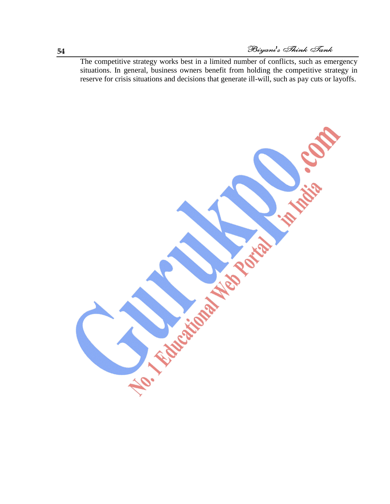The competitive strategy works best in a limited number of conflicts, such as emergency situations. In general, business owners benefit from holding the competitive strategy in reserve for crisis situations and decisions that generate ill-will, such as pay cuts or layoffs.

 $\overline{a}$ **Le division du livre de la fin de la fin de la fin de la fin de la fin de la fin de la fin de la fin de la fin de la fin de la fin de la fin de la fin de la fin de la fin de la fin de la fin de la fin de la fin de la fin**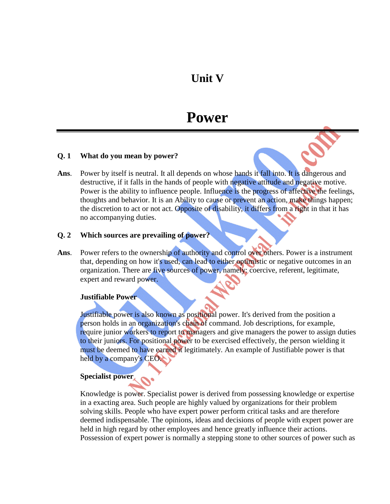## **Unit V**

# **Power**

#### **Q. 1 What do you mean by power?**

**Ans**. Power by itself is neutral. It all depends on whose hands it fall into. It is dangerous and destructive, if it falls in the hands of people with negative attitude and negative motive. Power is the ability to influence people. Influence is the progress of affective the feelings, thoughts and behavior. It is an Ability to cause or prevent an action, make things happen; the discretion to act or not act. Opposite of disability, it differs from a right in that it has no accompanying duties.

#### **Q. 2 Which sources are prevailing of power?**

**Ans**. Power refers to the ownership of authority and control over others. Power is a instrument that, depending on how it's used, can lead to either optimistic or negative outcomes in an organization. There are five sources of power, namely: coercive, referent, legitimate, expert and reward power.

#### **Justifiable Power**

Justifiable power is also known as positional power. It's derived from the position a person holds in an organization's chain of command. Job descriptions, for example, require junior workers to report to managers and give managers the power to assign duties to their juniors. For positional power to be exercised effectively, the person wielding it must be deemed to have earned it legitimately. An example of Justifiable power is that held by a company's CEO.

#### **Specialist power**

Knowledge is power. Specialist power is derived from possessing knowledge or expertise in a exacting area. Such people are highly valued by organizations for their problem solving skills. People who have expert power perform critical tasks and are therefore deemed indispensable. The opinions, ideas and decisions of people with expert power are held in high regard by other employees and hence greatly influence their actions. Possession of expert power is normally a stepping stone to other sources of power such as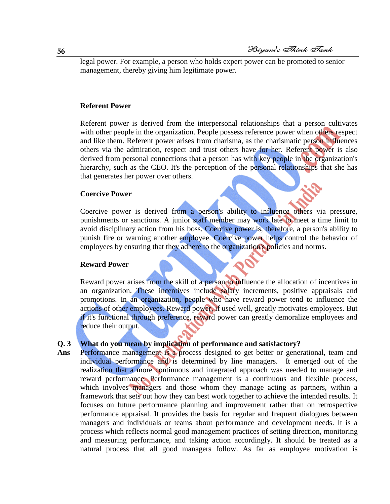legal power. For example, a person who holds expert power can be promoted to senior management, thereby giving him legitimate power.

#### **Referent Power**

Referent power is derived from the interpersonal relationships that a person cultivates with other people in the organization. People possess reference power when others respect and like them. Referent power arises from charisma, as the charismatic person influences others via the admiration, respect and trust others have for her. Referent power is also derived from personal connections that a person has with key people in the organization's hierarchy, such as the CEO. It's the perception of the personal relationships that she has that generates her power over others.

#### **Coercive Power**

Coercive power is derived from a person's ability to influence others via pressure, punishments or sanctions. A junior staff member may work late to meet a time limit to avoid disciplinary action from his boss. Coercive power is, therefore, a person's ability to punish fire or warning another employee. Coercive power helps control the behavior of employees by ensuring that they adhere to the organization's policies and norms.

#### **Reward Power**

Reward power arises from the skill of a person to influence the allocation of incentives in an organization. These incentives include salary increments, positive appraisals and promotions. In an organization, people who have reward power tend to influence the actions of other employees. Reward power, if used well, greatly motivates employees. But if it's functional through preference, reward power can greatly demoralize employees and reduce their output.

#### **Q. 3 What do you mean by implication of performance and satisfactory?**

**Ans** Performance management is a process designed to get better or generational, team and individual performance and is determined by line managers. It emerged out of the realization that a more continuous and integrated approach was needed to manage and reward performance. Performance management is a continuous and flexible process, which involves managers and those whom they manage acting as partners, within a framework that sets out how they can best work together to achieve the intended results. It focuses on future performance planning and improvement rather than on retrospective performance appraisal. It provides the basis for regular and frequent dialogues between managers and individuals or teams about performance and development needs. It is a process which reflects normal good management practices of setting direction, monitoring and measuring performance, and taking action accordingly. It should be treated as a natural process that all good managers follow. As far as employee motivation is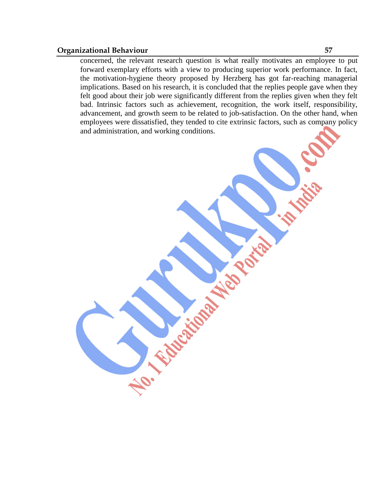concerned, the relevant research question is what really motivates an employee to put forward exemplary efforts with a view to producing superior work performance. In fact, the motivation-hygiene theory proposed by Herzberg has got far-reaching managerial implications. Based on his research, it is concluded that the replies people gave when they felt good about their job were significantly different from the replies given when they felt bad. Intrinsic factors such as achievement, recognition, the work itself, responsibility, advancement, and growth seem to be related to job-satisfaction. On the other hand, when employees were dissatisfied, they tended to cite extrinsic factors, such as company policy and administration, and working conditions.

**Dischiption**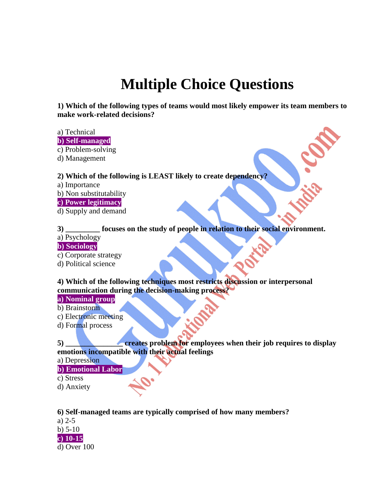# **Multiple Choice Questions**

**1) Which of the following types of teams would most likely empower its team members to make work-related decisions?** 

- a) Technical **b) Self-managed** c) Problem-solving  $\sum_{i=1}^n$ d) Management **2) Which of the following is LEAST likely to create dependency?**  a) Importance b) Non substitutability **c) Power legitimacy** d) Supply and demand **3) \_\_\_\_\_\_\_\_\_ focuses on the study of people in relation to their social environment.** a) Psychology **b) Sociology** c) Corporate strategy d) Political science **4) Which of the following techniques most restricts discussion or interpersonal communication during the decision-making process? a) Nominal group**
- b) Brainstorm
- c) Electronic meeting
- d) Formal process

**5) \_\_\_\_\_\_\_\_\_\_\_\_\_\_\_ creates problem for employees when their job requires to display emotions incompatible with their actual feelings** 

a) Depression

**b) Emotional Labor**

- c) Stress
- d) Anxiety

#### **6) Self-managed teams are typically comprised of how many members?**

a) 2-5 b) 5-10 **c) 10-15** d) Over 100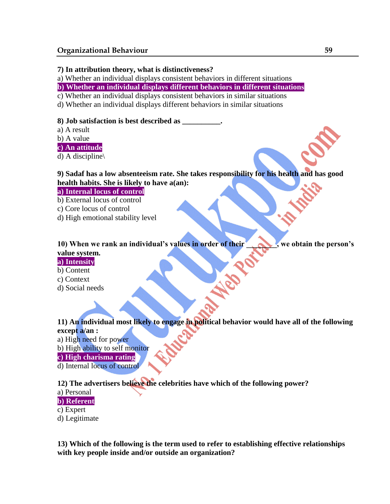## **7) In attribution theory, what is distinctiveness?**

a) Whether an individual displays consistent behaviors in different situations

**b) Whether an individual displays different behaviors in different situations**

c) Whether an individual displays consistent behaviors in similar situations

d) Whether an individual displays different behaviors in similar situations

## **8) Job satisfaction is best described as \_\_\_\_\_\_\_\_\_\_.**

a) A result

b) A value

**c) An attitude**

d) A discipline\

**9) Sadaf has a low absenteeism rate. She takes responsibility for his health and has good health habits. She is likely to have a(an):**

**a) Internal locus of control**

b) External locus of control

c) Core locus of control

d) High emotional stability level

### **10) When we rank an individual's values in order of their with the version we obtain the person's value system.**

#### **a) Intensity**

- b) Content
- c) Context
- d) Social needs

## **11) An individual most likely to engage in political behavior would have all of the following except a/an :**

a) High need for power b) High ability to self monitor

**c) High charisma rating**

d) Internal locus of control

**12) The advertisers believe the celebrities have which of the following power?**

a) Personal

## **b) Referent**

c) Expert

d) Legitimate

**13) Which of the following is the term used to refer to establishing effective relationships with key people inside and/or outside an organization?**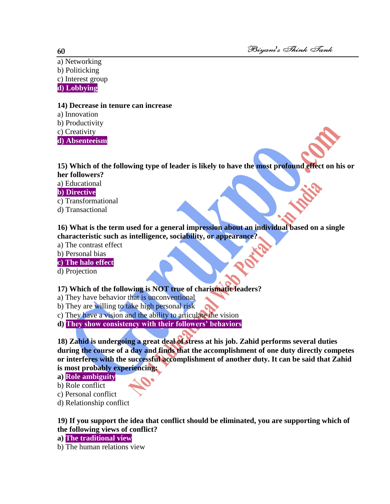Biyani's Think Tank

a) Networking b) Politicking c) Interest group **d) Lobbying**

### **14) Decrease in tenure can increase**

a) Innovation

b) Productivity

c) Creativity

**d) Absenteeism**

**15) Which of the following type of leader is likely to have the most profound effect on his or her followers?**

a) Educational

## **b) Directive**

c) Transformational

d) Transactional

**16) What is the term used for a general impression about an individual based on a single characteristic such as intelligence, sociability, or appearance?**

a) The contrast effect

b) Personal bias

**c) The halo effect**

d) Projection

## **17) Which of the following is NOT true of charismatic leaders?**

a) They have behavior that is unconventional

b) They are willing to take high personal risk

c) They have a vision and the ability to articulate the vision

**d) They show consistency with their followers' behaviors**

**18) Zahid is undergoing a great deal of stress at his job. Zahid performs several duties during the course of a day and finds that the accomplishment of one duty directly competes or interferes with the successful accomplishment of another duty. It can be said that Zahid is most probably experiencing:**

**a) Role ambiguity**

b) Role conflict

c) Personal conflict

d) Relationship conflict

## **19) If you support the idea that conflict should be eliminated, you are supporting which of the following views of conflict?**

## **a) The traditional view**

b) The human relations view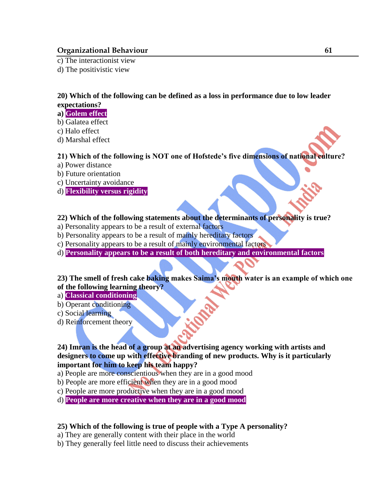- c) The interactionist view
- d) The positivistic view

## **20) Which of the following can be defined as a loss in performance due to low leader expectations?**

- **a) Golem effect**
- b) Galatea effect
- c) Halo effect
- d) Marshal effect

## **21) Which of the following is NOT one of Hofstede's five dimensions of national culture?**

- a) Power distance
- b) Future orientation
- c) Uncertainty avoidance
- d) **Flexibility versus rigidity**

## **22) Which of the following statements about the determinants of personality is true?**

- a) Personality appears to be a result of external factors
- b) Personality appears to be a result of mainly hereditary factors
- c) Personality appears to be a result of mainly environmental factors
- d) **Personality appears to be a result of both hereditary and environmental factors**

#### **23) The smell of fresh cake baking makes Saima's mouth water is an example of which one of the following learning theory?**

- a) **Classical conditioning**
- b) Operant conditioning
- c) Social learning
- d) Reinforcement theory

## **24) Imran is the head of a group at an advertising agency working with artists and designers to come up with effective branding of new products. Why is it particularly important for him to keep his team happy?**

- a) People are more conscientious when they are in a good mood
- b) People are more efficient when they are in a good mood
- c) People are more productive when they are in a good mood
- d) **People are more creative when they are in a good mood**

## **25) Which of the following is true of people with a Type A personality?**

- a) They are generally content with their place in the world
- b) They generally feel little need to discuss their achievements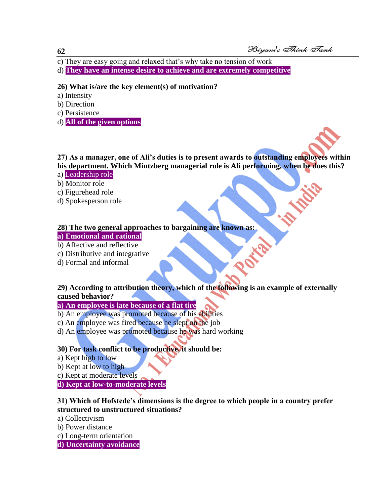**62**

c) They are easy going and relaxed that's why take no tension of work

d) **They have an intense desire to achieve and are extremely competitive**

## **26) What is/are the key element(s) of motivation?**

a) Intensity

- b) Direction
- c) Persistence
- d) **All of the given options**

**27) As a manager, one of Ali's duties is to present awards to outstanding employees within his department. Which Mintzberg managerial role is Ali performing, when he does this?**

- a) Leadership role
- b) Monitor role
- c) Figurehead role
- d) Spokesperson role

## **28) The two general approaches to bargaining are known as:**

- **a) Emotional and rational**
- b) Affective and reflective
- c) Distributive and integrative
- d) Formal and informal

## **29) According to attribution theory, which of the following is an example of externally caused behavior?**

## **a) An employee is late because of a flat tire**

- b) An employee was promoted because of his abilities
- c) An employee was fired because he slept on the job
- d) An employee was promoted because he was hard working

## **30) For task conflict to be productive, it should be:**

- a) Kept high to low
- b) Kept at low to high
- c) Kept at moderate levels

**d) Kept at low-to-moderate levels**

## **31) Which of Hofstede's dimensions is the degree to which people in a country prefer structured to unstructured situations?**

- a) Collectivism
- b) Power distance
- c) Long-term orientation
- **d) Uncertainty avoidance**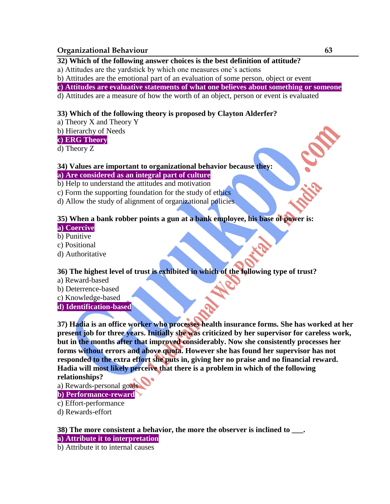## **32) Which of the following answer choices is the best definition of attitude?**

a) Attitudes are the yardstick by which one measures one's actions

b) Attitudes are the emotional part of an evaluation of some person, object or event

**c) Attitudes are evaluative statements of what one believes about something or someone**

d) Attitudes are a measure of how the worth of an object, person or event is evaluated

## **33) Which of the following theory is proposed by Clayton Alderfer?**

a) Theory X and Theory Y

## b) Hierarchy of Needs

**c) ERG Theory**

d) Theory Z

#### **34) Values are important to organizational behavior because they: a) Are considered as an integral part of culture**

b) Help to understand the attitudes and motivation

- c) Form the supporting foundation for the study of ethics
- d) Allow the study of alignment of organizational policies

## **35) When a bank robber points a gun at a bank employee, his base of power is:**

- **a) Coercive**
- b) Punitive
- c) Positional
- d) Authoritative

## **36) The highest level of trust is exhibited in which of the following type of trust?**

- a) Reward-based
- b) Deterrence-based
- c) Knowledge-based

**d) Identification-based**

**37) Hadia is an office worker who processes health insurance forms. She has worked at her present job for three years. Initially she was criticized by her supervisor for careless work, but in the months after that improved considerably. Now she consistently processes her forms without errors and above quota. However she has found her supervisor has not responded to the extra effort she puts in, giving her no praise and no financial reward. Hadia will most likely perceive that there is a problem in which of the following relationships?**

a) Rewards-personal goal

**b) Performance-reward**

c) Effort-performance

d) Rewards-effort

**38) The more consistent a behavior, the more the observer is inclined to \_\_\_. a) Attribute it to interpretation**

b) Attribute it to internal causes

**SOL**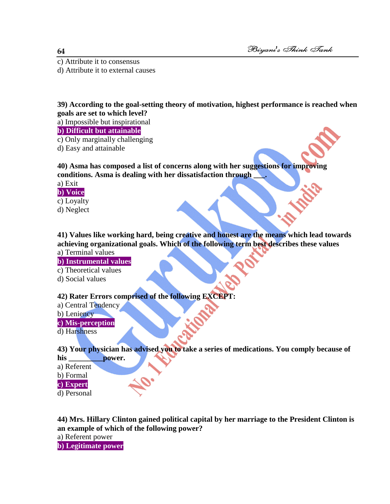c) Attribute it to consensus

d) Attribute it to external causes

**39) According to the goal-setting theory of motivation, highest performance is reached when goals are set to which level?**

a) Impossible but inspirational

**b) Difficult but attainable**

c) Only marginally challenging

d) Easy and attainable

**40) Asma has composed a list of concerns along with her suggestions for improving conditions. Asma is dealing with her dissatisfaction through \_\_\_.**

a) Exit

**b) Voice**

c) Loyalty

d) Neglect

**41) Values like working hard, being creative and honest are the means which lead towards achieving organizational goals. Which of the following term best describes these values**

a) Terminal values

**b) Instrumental values**

c) Theoretical values

d) Social values

## **42) Rater Errors comprised of the following EXCEPT:**

a) Central Tendency

b) Leniency

**c) Mis-perception**

d) Harshness

**43) Your physician has advised you to take a series of medications. You comply because of**  his **power.** 

a) Referent

b) Formal

**c) Expert**

d) Personal

**44) Mrs. Hillary Clinton gained political capital by her marriage to the President Clinton is an example of which of the following power?** a) Referent power **b) Legitimate power**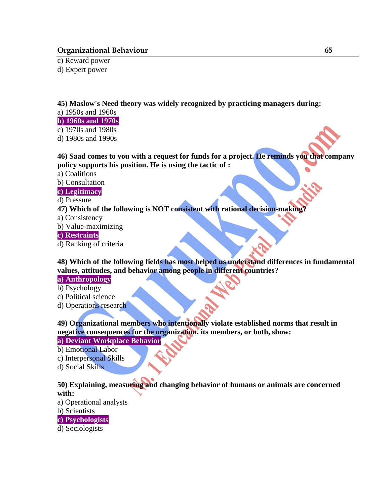c) Reward power

d) Expert power

**45) Maslow's Need theory was widely recognized by practicing managers during:**

a) 1950s and 1960s

**b) 1960s and 1970s**

c) 1970s and 1980s

d) 1980s and 1990s

**46) Saad comes to you with a request for funds for a project. He reminds you that company policy supports his position. He is using the tactic of :**

a) Coalitions

b) Consultation

**c) Legitimacy**

d) Pressure

**47) Which of the following is NOT consistent with rational decision-making?**

a) Consistency

b) Value-maximizing

**c) Restraints**

d) Ranking of criteria

**48) Which of the following fields has most helped us understand differences in fundamental values, attitudes, and behavior among people in different countries?**

## **a) Anthropology**

b) Psychology

c) Political science

d) Operations research

**49) Organizational members who intentionally violate established norms that result in negative consequences for the organization, its members, or both, show: a) Deviant Workplace Behavior**

b) Emotional Labor

c) Interpersonal Skills

d) Social Skills

**50) Explaining, measuring and changing behavior of humans or animals are concerned with:**

a) Operational analysts

b) Scientists

**c) Psychologists**

d) Sociologists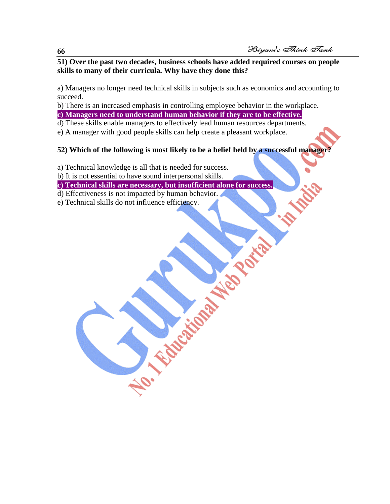## **51) Over the past two decades, business schools have added required courses on people skills to many of their curricula. Why have they done this?**

a) Managers no longer need technical skills in subjects such as economics and accounting to succeed.

b) There is an increased emphasis in controlling employee behavior in the workplace.

**c) Managers need to understand human behavior if they are to be effective.**

d) These skills enable managers to effectively lead human resources departments.

e) A manager with good people skills can help create a pleasant workplace.

## **52) Which of the following is most likely to be a belief held by a successful manager?**

ication

a) Technical knowledge is all that is needed for success.

b) It is not essential to have sound interpersonal skills.

## **c) Technical skills are necessary, but insufficient alone for success.**

d) Effectiveness is not impacted by human behavior.

e) Technical skills do not influence efficiency.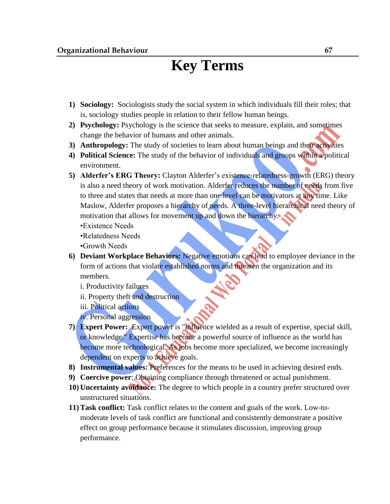# **Key Terms**

- **1) Sociology:** Sociologists study the social system in which individuals fill their roles; that is, sociology studies people in relation to their fellow human beings.
- **2) Psychology:** Psychology is the science that seeks to measure, explain, and sometimes change the behavior of humans and other animals.
- **3) Anthropology:** The study of societies to learn about human beings and their activities
- **4) Political Science:** The study of the behavior of individuals and groups within a political environment.
- **5) Alderfer's ERG Theory:** Clayton Alderfer's existence-relatedness-growth (ERG) theory is also a need theory of work motivation. Alderfer reduces the number of needs from five to three and states that needs at more than one level can be motivators at any time. Like Maslow, Alderfer proposes a hierarchy of needs. A three-level hierarchical need theory of motivation that allows for movement up and down the hierarchy.

•Existence Needs

•Relatedness Needs

•Growth Needs

**6) Deviant Workplace Behaviors:** Negative emotions can lead to employee deviance in the form of actions that violate established norms and threaten the organization and its members.

i. Productivity failures

- ii. Property theft and destruction
- iii. Political actions

iv. Personal aggression

- **7) Expert Power:** Expert power is "influence wielded as a result of expertise, special skill, or knowledge." Expertise has become a powerful source of influence as the world has become more technological. As jobs become more specialized, we become increasingly dependent on experts to achieve goals.
- **8) Instrumental values:** Preferences for the means to be used in achieving desired ends.
- **9) Coercive power**: Obtaining compliance through threatened or actual punishment.
- **10) Uncertainty avoidance:** The degree to which people in a country prefer structured over unstructured situations.
- **11) Task conflict:** Task conflict relates to the content and goals of the work. Low-tomoderate levels of task conflict are functional and consistently demonstrate a positive effect on group performance because it stimulates discussion, improving group performance.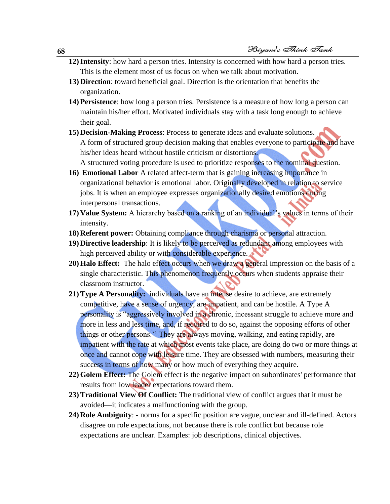- **12)Intensity**: how hard a person tries. Intensity is concerned with how hard a person tries. This is the element most of us focus on when we talk about motivation.
- **13) Direction**: toward beneficial goal. Direction is the orientation that benefits the organization.
- **14) Persistence**: how long a person tries. Persistence is a measure of how long a person can maintain his/her effort. Motivated individuals stay with a task long enough to achieve their goal.
- **15) Decision-Making Process**: Process to generate ideas and evaluate solutions. A form of structured group decision making that enables everyone to participate and have his/her ideas heard without hostile criticism or distortions. A structured voting procedure is used to prioritize responses to the nominal question.
- **16) Emotional Labor** A related affect-term that is gaining increasing importance in organizational behavior is emotional labor. Originally developed in relation to service jobs. It is when an employee expresses organizationally desired emotions during interpersonal transactions.
- **17) Value System:** A hierarchy based on a ranking of an individual's values in terms of their intensity.
- **18) Referent power:** Obtaining compliance through charisma or personal attraction.
- **19) Directive leadership**: It is likely to be perceived as redundant among employees with high perceived ability or with considerable experience.
- **20) Halo Effect:** The halo effect occurs when we draw a general impression on the basis of a single characteristic. This phenomenon frequently occurs when students appraise their classroom instructor.
- **21) Type A Personality:** individuals have an intense desire to achieve, are extremely competitive, have a sense of urgency, are impatient, and can be hostile. A Type A personality is "aggressively involved in a chronic, incessant struggle to achieve more and more in less and less time, and, if required to do so, against the opposing efforts of other things or other persons.'' They are always moving, walking, and eating rapidly, are impatient with the rate at which most events take place, are doing do two or more things at once and cannot cope with leisure time. They are obsessed with numbers, measuring their success in terms of how many or how much of everything they acquire.
- **22) Golem Effect:** The Golem effect is the negative impact on subordinates' performance that results from low leader expectations toward them.
- **23) Traditional View Of Conflict:** The traditional view of conflict argues that it must be avoided—it indicates a malfunctioning with the group.
- **24) Role Ambiguity**: norms for a specific position are vague, unclear and ill-defined. Actors disagree on role expectations, not because there is role conflict but because role expectations are unclear. Examples: job descriptions, clinical objectives.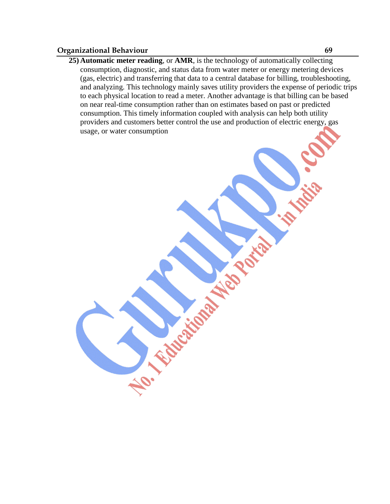**25) Automatic meter reading**, or **AMR**, is the technology of automatically collecting consumption, diagnostic, and status data from water meter or energy metering devices (gas, electric) and transferring that data to a central database for billing, troubleshooting, and analyzing. This technology mainly saves utility providers the expense of periodic trips to each physical location to read a meter. Another advantage is that billing can be based on near real-time consumption rather than on estimates based on past or predicted consumption. This timely information coupled with analysis can help both utility providers and customers better control the use and production of electric energy, gas usage, or water consumption

Wab

**Pricational**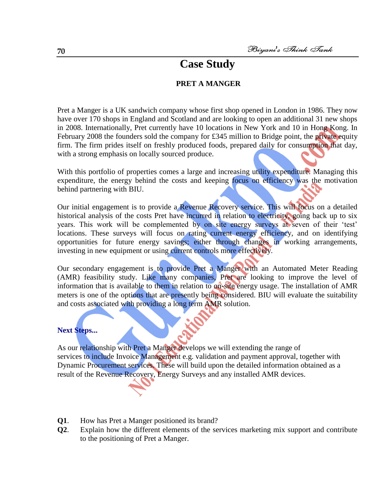## **Case Study**

## **PRET A MANGER**

Pret a Manger is a UK sandwich company whose first shop opened in London in 1986. They now have over 170 shops in England and Scotland and are looking to open an additional 31 new shops in 2008. Internationally, Pret currently have 10 locations in New York and 10 in Hong Kong. In February 2008 the founders sold the company for £345 million to Bridge point, the private equity firm. The firm prides itself on freshly produced foods, prepared daily for consumption that day, with a strong emphasis on locally sourced produce.

With this portfolio of properties comes a large and increasing utility expenditure. Managing this expenditure, the energy behind the costs and keeping focus on efficiency was the motivation behind partnering with BIU.

Our initial engagement is to provide a Revenue Recovery service. This will focus on a detailed historical analysis of the costs Pret have incurred in relation to electricity, going back up to six years. This work will be complemented by on site energy surveys at seven of their 'test' locations. These surveys will focus on rating current energy efficiency, and on identifying opportunities for future energy savings; either through changes in working arrangements, investing in new equipment or using current controls more effectively.

Our secondary engagement is to provide Pret a Manger with an Automated Meter Reading (AMR) feasibility study. Like many companies, Pret are looking to improve the level of information that is available to them in relation to on-site energy usage. The installation of AMR meters is one of the options that are presently being considered. BIU will evaluate the suitability and costs associated with providing a long term AMR solution.

#### **Next Steps...**

As our relationship with Pret a Manger develops we will extending the range of services to include Invoice Management e.g. validation and payment approval, together with Dynamic Procurement services. These will build upon the detailed information obtained as a result of the Revenue Recovery, Energy Surveys and any installed AMR devices.

- **Q1**. How has Pret a Manger positioned its brand?
- **Q2**. Explain how the different elements of the services marketing mix support and contribute to the positioning of Pret a Manger.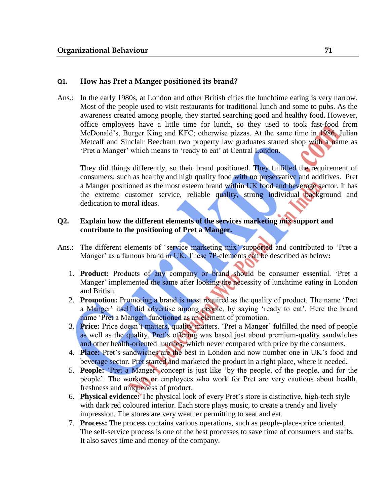### **Q1. How has Pret a Manger positioned its brand?**

Ans.: In the early 1980s, at London and other British cities the lunchtime eating is very narrow. Most of the people used to visit restaurants for traditional lunch and some to pubs. As the awareness created among people, they started searching good and healthy food. However, office employees have a little time for lunch, so they used to took fast-food from McDonald's, Burger King and KFC; otherwise pizzas. At the same time in 1986, Julian Metcalf and Sinclair Beecham two property law graduates started shop with a name as 'Pret a Manger' which means to 'ready to eat' at Central London.

They did things differently, so their brand positioned. They fulfilled the requirement of consumers; such as healthy and high quality food with no preservative and additives. Pret a Manger positioned as the most esteem brand within UK food and beverage sector. It has the extreme customer service, reliable quality, strong individual background and dedication to moral ideas.

## **Q2. Explain how the different elements of the services marketing mix support and contribute to the positioning of Pret a Manger.**

- Ans.: The different elements of 'service marketing mix' supported and contributed to 'Pret a Manger' as a famous brand in UK. These 7P-elements can be described as below**:**
	- 1. **Product:** Products of any company or brand should be consumer essential. 'Pret a Manger' implemented the same after looking the necessity of lunchtime eating in London and British.
	- 2. **Promotion:** Promoting a brand is most required as the quality of product. The name 'Pret a Manger' itself did advertise among people, by saying 'ready to eat'. Here the brand name 'Pret a Manger' functioned as an element of promotion.
	- 3. **Price:** Price doesn't matters, quality matters. ‗Pret a Manger' fulfilled the need of people as well as the quality. Pret's offering was based just about premium-quality sandwiches and other health-oriented lunches, which never compared with price by the consumers.
	- 4. **Place:** Pret's sandwiches are the best in London and now number one in UK's food and beverage sector. Pret started and marketed the product in a right place, where it needed.
	- 5. **People:** ‗Pret a Manger' concept is just like ‗by the people, of the people, and for the people'. The workers or employees who work for Pret are very cautious about health, freshness and uniqueness of product.
	- 6. **Physical evidence:** The physical look of every Pret's store is distinctive, high-tech style with dark red coloured interior. Each store plays music, to create a trendy and lively impression. The stores are very weather permitting to seat and eat.
	- 7. **Process:** The process contains various operations, such as people-place-price oriented. The self-service process is one of the best processes to save time of consumers and staffs. It also saves time and money of the company.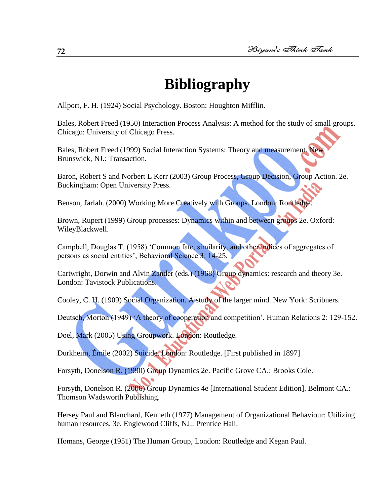# **Bibliography**

Allport, F. H. (1924) Social Psychology. Boston: Houghton Mifflin.

Bales, Robert Freed (1950) Interaction Process Analysis: A method for the study of small groups. Chicago: University of Chicago Press.

Bales, Robert Freed (1999) Social Interaction Systems: Theory and measurement. New Brunswick, NJ.: Transaction.

Baron, Robert S and Norbert L Kerr (2003) Group Process, Group Decision, Group Action. 2e. Buckingham: Open University Press.

Benson, Jarlah. (2000) Working More Creatively with Groups. London: Routledge.

Brown, Rupert (1999) Group processes: Dynamics within and between groups 2e. Oxford: WileyBlackwell.

Campbell, Douglas T. (1958) 'Common fate, similarity, and other indices of aggregates of persons as social entities', Behavioral Science 3: 14-25.

Cartwright, Dorwin and Alvin Zander (eds.) (1968) Group dynamics: research and theory 3e. London: Tavistock Publications.

Cooley, C. H. (1909) Social Organization. A study of the larger mind. New York: Scribners.

Deutsch, Morton (1949) 'A theory of cooperation and competition', Human Relations 2: 129-152.

Doel, Mark (2005) Using Groupwork. London: Routledge.

Durkheim, Émile (2002) Suicide. London: Routledge. [First published in 1897]

Forsyth, Donelson R. (1990) Group Dynamics 2e. Pacific Grove CA.: Brooks Cole.

Forsyth, Donelson R. (2006) Group Dynamics 4e [International Student Edition]. Belmont CA.: Thomson Wadsworth Publishing.

Hersey Paul and Blanchard, Kenneth (1977) Management of Organizational Behaviour: Utilizing human resources. 3e. Englewood Cliffs, NJ.: Prentice Hall.

Homans, George (1951) The Human Group, London: Routledge and Kegan Paul.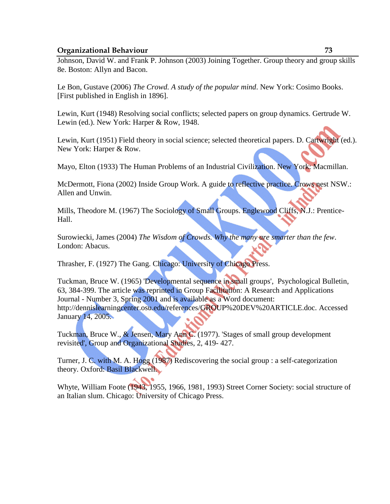## **Organizational Behaviour 73**

Johnson, David W. and Frank P. Johnson (2003) Joining Together. Group theory and group skills 8e. Boston: Allyn and Bacon.

Le Bon, Gustave (2006) *The Crowd. A study of the popular mind*. New York: Cosimo Books. [First published in English in 1896].

Lewin, Kurt (1948) Resolving social conflicts; selected papers on group dynamics. Gertrude W. Lewin (ed.). New York: Harper & Row, 1948.

Lewin, Kurt (1951) Field theory in social science; selected theoretical papers. D. Cartwright (ed.). New York: Harper & Row.

Mayo, Elton (1933) The Human Problems of an Industrial Civilization. New York: Macmillan.

McDermott, Fiona (2002) Inside Group Work. A guide to reflective practice. Crows nest NSW.: Allen and Unwin.

Mills, Theodore M. (1967) The Sociology of Small Groups. Englewood Cliffs, N.J.: Prentice-Hall.

Surowiecki, James (2004) *The Wisdom of Crowds. Why the many are smarter than the few*. London: Abacus.

Thrasher, F. (1927) The Gang. Chicago: University of Chicago Press.

Tuckman, Bruce W. (1965) 'Developmental sequence in small groups', Psychological Bulletin, 63, 384-399. The article was reprinted in Group Facilitation: A Research and Applications Journal - Number 3, Spring 2001 and is available as a Word document: http://dennislearningcenter.osu.edu/references/GROUP%20DEV%20ARTICLE.doc. Accessed January 14, 2005.

Tuckman, Bruce W., & Jensen, Mary Ann C. (1977). 'Stages of small group development revisited', Group and Organizational Studies, 2, 419- 427.

Turner, J. C. with M. A. Hogg (1987) Rediscovering the social group : a self-categorization theory. Oxford: Basil Blackwell.

Whyte, William Foote (1943, 1955, 1966, 1981, 1993) Street Corner Society: social structure of an Italian slum. Chicago: University of Chicago Press.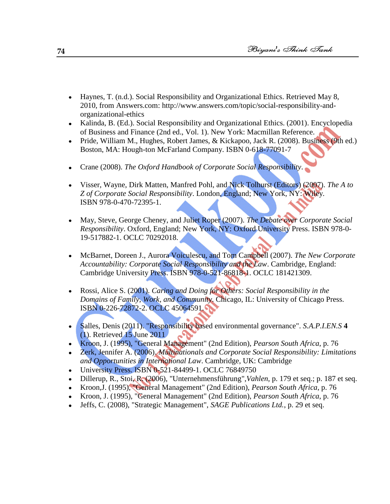- Haynes, T. (n.d.). Social Responsibility and Organizational Ethics. Retrieved May 8, 2010, from Answers.com: http://www.answers.com/topic/social-responsibility-andorganizational-ethics
- Kalinda, B. (Ed.). Social Responsibility and Organizational Ethics. (2001). Encyclopedia of Business and Finance (2nd ed., Vol. 1). New York: Macmillan Reference.
- Pride, William M., Hughes, Robert James, & Kickapoo, Jack R. (2008). Business (9th ed.) Boston, MA: Hough-ton McFarland Company. [ISBN 0-618-77091-7](http://en.wikipedia.org/wiki/Special:BookSources/0618770917)
- Crane (2008). *The Oxford Handbook of Corporate Social Responsibility*.
- Visser, Wayne, Dirk Matten, Manfred Pohl, and Nick Tolhurst (Editors) (2007). *The A to*   $\bullet$ *Z of Corporate Social Responsibility*. London, England; New York, NY: Wiley. [ISBN](http://en.wikipedia.org/wiki/International_Standard_Book_Number) [978-0-470-72395-1.](http://en.wikipedia.org/wiki/Special:BookSources/978-0-470-72395-1)
- May, Steve, George Cheney, and Juliet Roper (2007). *The Debate over Corporate Social*   $\bullet$ *Responsibility*. Oxford, England; New York, NY: Oxford University Press. [ISBN](http://en.wikipedia.org/wiki/International_Standard_Book_Number) [978-0-](http://en.wikipedia.org/wiki/Special:BookSources/978-0-19-517882-1) [19-517882-1.](http://en.wikipedia.org/wiki/Special:BookSources/978-0-19-517882-1) [OCLC](http://en.wikipedia.org/wiki/OCLC) [70292018.](http://www.worldcat.org/oclc/70292018)
- McBarnet, Doreen J., Aurora Voiculescu, and Tom Campbell (2007). *The New Corporate*   $\bullet$ *Accountability: Corporate Social Responsibility and the Law*. Cambridge, England: Cambridge University Press. [ISBN](http://en.wikipedia.org/wiki/International_Standard_Book_Number) [978-0-521-86818-1.](http://en.wikipedia.org/wiki/Special:BookSources/978-0-521-86818-1) [OCLC](http://en.wikipedia.org/wiki/OCLC) [181421309.](http://www.worldcat.org/oclc/181421309)
- Rossi, Alice S. (2001). *Caring and Doing for Others: Social Responsibility in the*   $\bullet$ *Domains of Family, Work, and Community*. Chicago, IL: University of Chicago Press. [ISBN](http://en.wikipedia.org/wiki/International_Standard_Book_Number) [0-226-72872-2.](http://en.wikipedia.org/wiki/Special:BookSources/0-226-72872-2) [OCLC](http://en.wikipedia.org/wiki/OCLC) [45064591.](http://www.worldcat.org/oclc/45064591)
- Salles, Denis (2011). ["Responsibility based environmental governance".](http://sapiens.revues.org/1092) *S.A.P.I.EN.S* **4**  $\bullet$ (1). Retrieved 15 June 2011
- Kroon, J. (1995), "General Management" (2nd Edition), *Pearson South Africa*, p. 76
- Zerk, Jennifer A. (2006). *Multinationals and Corporate Social Responsibility: Limitations and Opportunities in International Law*. Cambridge, UK: Cambridge
- University Press. [ISBN](http://en.wikipedia.org/wiki/International_Standard_Book_Number) [0-521-84499-1.](http://en.wikipedia.org/wiki/Special:BookSources/0-521-84499-1) [OCLC](http://en.wikipedia.org/wiki/OCLC) [76849750](http://www.worldcat.org/oclc/76849750)
- Dillerup, R., Stoi, R. (2006), "Unternehmensführung",*Vahlen*, p. 179 et seq.; p. 187 et seq.
- Kroon,J. (1995), "General Management" (2nd Edition), *Pearson South Africa*, p. 76
- Kroon, J. (1995), "General Management" (2nd Edition), *Pearson South Africa*, p. 76
- Jeffs, C. (2008), "Strategic Management", *SAGE Publications Ltd.*, p. 29 et seq.